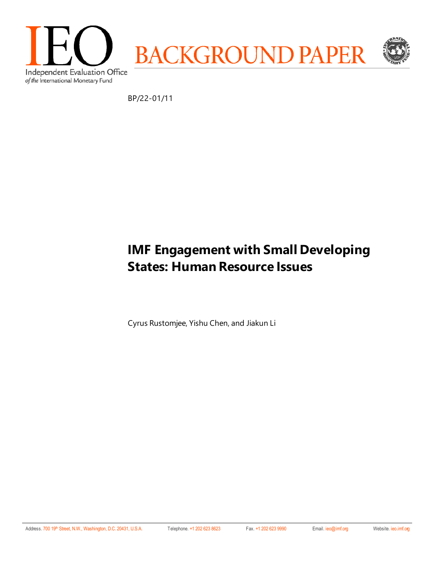

BP/22-01/11

# **IMF Engagement with Small Developing States: Human Resource Issues**

Cyrus Rustomjee, Yishu Chen, and Jiakun Li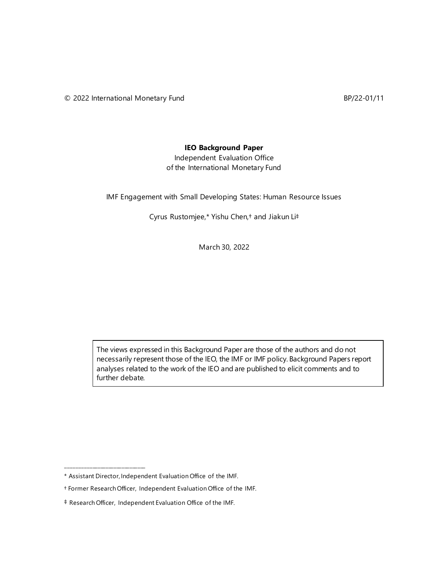#### **IEO Background Paper**

Independent Evaluation Office of the International Monetary Fund

IMF Engagement with Small Developing States: Human Resource Issues

Cyrus Rustomjee,\* Yishu Chen,† and Jiakun Li‡

March 30, 2022

The views expressed in this Background Paper are those of the authors and do not necessarily represent those of the IEO, the IMF or IMF policy. Background Papers report analyses related to the work of the IEO and are published to elicit comments and to further debate.

\_\_\_\_\_\_\_\_\_\_\_\_\_\_\_\_\_\_\_\_\_\_\_\_\_\_\_\_\_\_

<sup>\*</sup> Assistant Director, Independent Evaluation Office of the IMF.

<sup>†</sup> Former Research Officer, Independent Evaluation Office of the IMF.

<sup>‡</sup> Research Officer, Independent Evaluation Office of the IMF.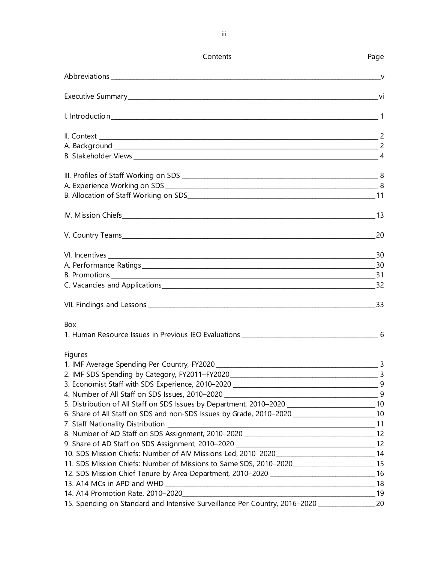| - V<br>1. IMF Average Spending Per Country, FY2020<br>$\frac{1}{\sqrt{3}}$<br>5. Distribution of All Staff on SDS Issues by Department, 2010-2020 ___________________________10<br>6. Share of All Staff on SDS and non-SDS Issues by Grade, 2010-2020 __________________________10<br>7. Staff Nationality Distribution _<br>10. SDS Mission Chiefs: Number of AIV Missions Led, 2010-2020___________________________14<br>11. SDS Mission Chiefs: Number of Missions to Same SDS, 2010-2020<br>12. SDS Mission Chief Tenure by Area Department, 2010-2020 _______________________________16<br>15. Spending on Standard and Intensive Surveillance Per Country, 2016-2020 _______________________20 | Contents | Page |
|-------------------------------------------------------------------------------------------------------------------------------------------------------------------------------------------------------------------------------------------------------------------------------------------------------------------------------------------------------------------------------------------------------------------------------------------------------------------------------------------------------------------------------------------------------------------------------------------------------------------------------------------------------------------------------------------------------|----------|------|
|                                                                                                                                                                                                                                                                                                                                                                                                                                                                                                                                                                                                                                                                                                       |          |      |
|                                                                                                                                                                                                                                                                                                                                                                                                                                                                                                                                                                                                                                                                                                       |          |      |
|                                                                                                                                                                                                                                                                                                                                                                                                                                                                                                                                                                                                                                                                                                       |          |      |
|                                                                                                                                                                                                                                                                                                                                                                                                                                                                                                                                                                                                                                                                                                       |          |      |
|                                                                                                                                                                                                                                                                                                                                                                                                                                                                                                                                                                                                                                                                                                       |          |      |
|                                                                                                                                                                                                                                                                                                                                                                                                                                                                                                                                                                                                                                                                                                       |          |      |
|                                                                                                                                                                                                                                                                                                                                                                                                                                                                                                                                                                                                                                                                                                       |          |      |
|                                                                                                                                                                                                                                                                                                                                                                                                                                                                                                                                                                                                                                                                                                       |          |      |
|                                                                                                                                                                                                                                                                                                                                                                                                                                                                                                                                                                                                                                                                                                       |          |      |
|                                                                                                                                                                                                                                                                                                                                                                                                                                                                                                                                                                                                                                                                                                       |          |      |
|                                                                                                                                                                                                                                                                                                                                                                                                                                                                                                                                                                                                                                                                                                       |          |      |
|                                                                                                                                                                                                                                                                                                                                                                                                                                                                                                                                                                                                                                                                                                       |          |      |
|                                                                                                                                                                                                                                                                                                                                                                                                                                                                                                                                                                                                                                                                                                       |          |      |
|                                                                                                                                                                                                                                                                                                                                                                                                                                                                                                                                                                                                                                                                                                       |          |      |
|                                                                                                                                                                                                                                                                                                                                                                                                                                                                                                                                                                                                                                                                                                       |          |      |
|                                                                                                                                                                                                                                                                                                                                                                                                                                                                                                                                                                                                                                                                                                       | Box      |      |
|                                                                                                                                                                                                                                                                                                                                                                                                                                                                                                                                                                                                                                                                                                       |          |      |
|                                                                                                                                                                                                                                                                                                                                                                                                                                                                                                                                                                                                                                                                                                       | Figures  |      |
|                                                                                                                                                                                                                                                                                                                                                                                                                                                                                                                                                                                                                                                                                                       |          |      |
|                                                                                                                                                                                                                                                                                                                                                                                                                                                                                                                                                                                                                                                                                                       |          |      |
|                                                                                                                                                                                                                                                                                                                                                                                                                                                                                                                                                                                                                                                                                                       |          |      |
|                                                                                                                                                                                                                                                                                                                                                                                                                                                                                                                                                                                                                                                                                                       |          |      |
|                                                                                                                                                                                                                                                                                                                                                                                                                                                                                                                                                                                                                                                                                                       |          |      |
|                                                                                                                                                                                                                                                                                                                                                                                                                                                                                                                                                                                                                                                                                                       |          |      |
|                                                                                                                                                                                                                                                                                                                                                                                                                                                                                                                                                                                                                                                                                                       |          |      |
|                                                                                                                                                                                                                                                                                                                                                                                                                                                                                                                                                                                                                                                                                                       |          |      |
|                                                                                                                                                                                                                                                                                                                                                                                                                                                                                                                                                                                                                                                                                                       |          |      |
|                                                                                                                                                                                                                                                                                                                                                                                                                                                                                                                                                                                                                                                                                                       |          |      |
|                                                                                                                                                                                                                                                                                                                                                                                                                                                                                                                                                                                                                                                                                                       |          |      |
|                                                                                                                                                                                                                                                                                                                                                                                                                                                                                                                                                                                                                                                                                                       |          |      |
|                                                                                                                                                                                                                                                                                                                                                                                                                                                                                                                                                                                                                                                                                                       |          |      |
|                                                                                                                                                                                                                                                                                                                                                                                                                                                                                                                                                                                                                                                                                                       |          |      |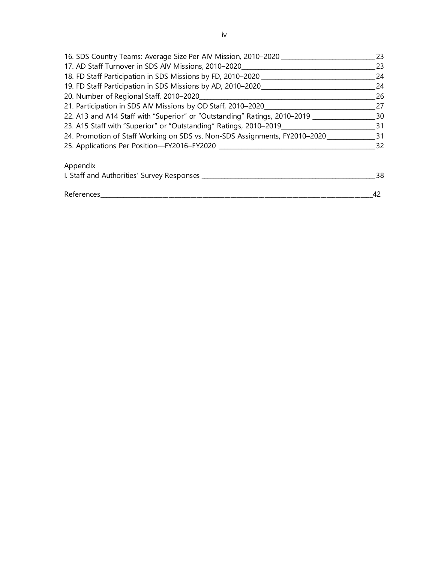| 16. SDS Country Teams: Average Size Per AIV Mission, 2010-2020             | 23 |
|----------------------------------------------------------------------------|----|
| 17. AD Staff Turnover in SDS AIV Missions, 2010-2020                       | 23 |
| 18. FD Staff Participation in SDS Missions by FD, 2010-2020                | 24 |
| 19. FD Staff Participation in SDS Missions by AD, 2010-2020                | 24 |
| 20. Number of Regional Staff, 2010-2020                                    | 26 |
| 21. Participation in SDS AIV Missions by OD Staff, 2010-2020               | 27 |
| 22. A13 and A14 Staff with "Superior" or "Outstanding" Ratings, 2010-2019  | 30 |
| 23. A15 Staff with "Superior" or "Outstanding" Ratings, 2010-2019          | 31 |
| 24. Promotion of Staff Working on SDS vs. Non-SDS Assignments, FY2010-2020 | 31 |
| 25. Applications Per Position-FY2016-FY2020                                | 32 |
| Appendix                                                                   |    |
| I. Staff and Authorities' Survey Responses _____                           | 38 |
| References                                                                 | 42 |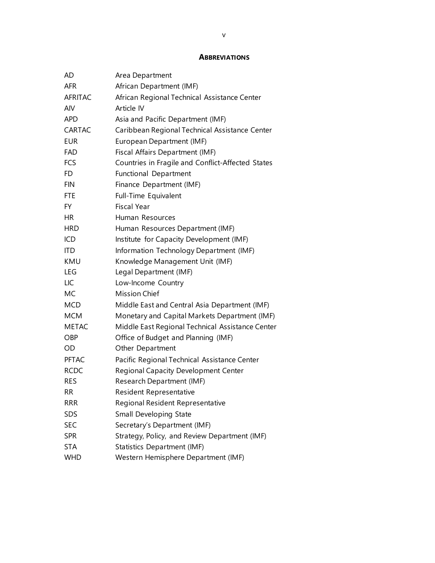#### **ABBREVIATIONS**

| AD             | Area Department                                   |
|----------------|---------------------------------------------------|
| <b>AFR</b>     | African Department (IMF)                          |
| <b>AFRITAC</b> | African Regional Technical Assistance Center      |
| AIV            | Article IV                                        |
| <b>APD</b>     | Asia and Pacific Department (IMF)                 |
| <b>CARTAC</b>  | Caribbean Regional Technical Assistance Center    |
| <b>EUR</b>     | European Department (IMF)                         |
| FAD            | Fiscal Affairs Department (IMF)                   |
| <b>FCS</b>     | Countries in Fragile and Conflict-Affected States |
| FD             | <b>Functional Department</b>                      |
| <b>FIN</b>     | Finance Department (IMF)                          |
| <b>FTE</b>     | Full-Time Equivalent                              |
| FY.            | <b>Fiscal Year</b>                                |
| HR.            | Human Resources                                   |
| <b>HRD</b>     | Human Resources Department (IMF)                  |
| ICD            | Institute for Capacity Development (IMF)          |
| <b>ITD</b>     | Information Technology Department (IMF)           |
| KMU            | Knowledge Management Unit (IMF)                   |
| LEG            | Legal Department (IMF)                            |
| LIC            | Low-Income Country                                |
| MC             | <b>Mission Chief</b>                              |
| MCD            | Middle East and Central Asia Department (IMF)     |
| <b>MCM</b>     | Monetary and Capital Markets Department (IMF)     |
| <b>METAC</b>   | Middle East Regional Technical Assistance Center  |
| OBP            | Office of Budget and Planning (IMF)               |
| OD.            | Other Department                                  |
| <b>PFTAC</b>   | Pacific Regional Technical Assistance Center      |
| <b>RCDC</b>    | Regional Capacity Development Center              |
| <b>RES</b>     | Research Department (IMF)                         |
| <b>RR</b>      | Resident Representative                           |
| <b>RRR</b>     | Regional Resident Representative                  |
| SDS            | Small Developing State                            |
| SEC            | Secretary's Department (IMF)                      |
| <b>SPR</b>     | Strategy, Policy, and Review Department (IMF)     |
| <b>STA</b>     | Statistics Department (IMF)                       |
| <b>WHD</b>     | Western Hemisphere Department (IMF)               |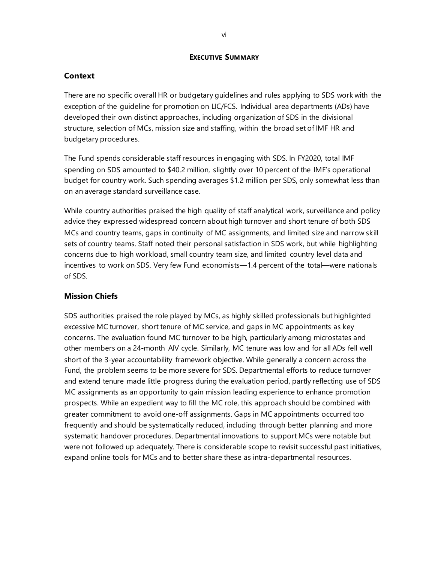#### **EXECUTIVE SUMMARY**

# **Context**

There are no specific overall HR or budgetary guidelines and rules applying to SDS work with the exception of the guideline for promotion on LIC/FCS. Individual area departments (ADs) have developed their own distinct approaches, including organization of SDS in the divisional structure, selection of MCs, mission size and staffing, within the broad set of IMF HR and budgetary procedures.

The Fund spends considerable staff resources in engaging with SDS. In FY2020, total IMF spending on SDS amounted to \$40.2 million, slightly over 10 percent of the IMF's operational budget for country work. Such spending averages \$1.2 million per SDS, only somewhat less than on an average standard surveillance case.

While country authorities praised the high quality of staff analytical work, surveillance and policy advice they expressed widespread concern about high turnover and short tenure of both SDS MCs and country teams, gaps in continuity of MC assignments, and limited size and narrow skill sets of country teams. Staff noted their personal satisfaction in SDS work, but while highlighting concerns due to high workload, small country team size, and limited country level data and incentives to work on SDS. Very few Fund economists—1.4 percent of the total—were nationals of SDS.

# **Mission Chiefs**

SDS authorities praised the role played by MCs, as highly skilled professionals but highlighted excessive MC turnover, short tenure of MC service, and gaps in MC appointments as key concerns. The evaluation found MC turnover to be high, particularly among microstates and other members on a 24-month AIV cycle. Similarly, MC tenure was low and for all ADs fell well short of the 3-year accountability framework objective. While generally a concern across the Fund, the problem seems to be more severe for SDS. Departmental efforts to reduce turnover and extend tenure made little progress during the evaluation period, partly reflecting use of SDS MC assignments as an opportunity to gain mission leading experience to enhance promotion prospects. While an expedient way to fill the MC role, this approach should be combined with greater commitment to avoid one-off assignments. Gaps in MC appointments occurred too frequently and should be systematically reduced, including through better planning and more systematic handover procedures. Departmental innovations to support MCs were notable but were not followed up adequately. There is considerable scope to revisit successful past initiatives, expand online tools for MCs and to better share these as intra-departmental resources.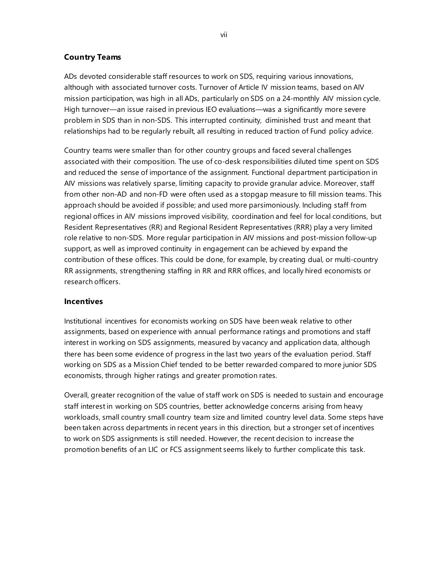## **Country Teams**

ADs devoted considerable staff resources to work on SDS, requiring various innovations, although with associated turnover costs. Turnover of Article IV mission teams, based on AIV mission participation, was high in all ADs, particularly on SDS on a 24-monthly AIV mission cycle. High turnover—an issue raised in previous IEO evaluations—was a significantly more severe problem in SDS than in non-SDS. This interrupted continuity, diminished trust and meant that relationships had to be regularly rebuilt, all resulting in reduced traction of Fund policy advice.

Country teams were smaller than for other country groups and faced several challenges associated with their composition. The use of co-desk responsibilities diluted time spent on SDS and reduced the sense of importance of the assignment. Functional department participation in AIV missions was relatively sparse, limiting capacity to provide granular advice. Moreover, staff from other non-AD and non-FD were often used as a stopgap measure to fill mission teams. This approach should be avoided if possible; and used more parsimoniously. Including staff from regional offices in AIV missions improved visibility, coordination and feel for local conditions, but Resident Representatives (RR) and Regional Resident Representatives (RRR) play a very limited role relative to non-SDS. More regular participation in AIV missions and post-mission follow-up support, as well as improved continuity in engagement can be achieved by expand the contribution of these offices. This could be done, for example, by creating dual, or multi-country RR assignments, strengthening staffing in RR and RRR offices, and locally hired economists or research officers.

#### **Incentives**

Institutional incentives for economists working on SDS have been weak relative to other assignments, based on experience with annual performance ratings and promotions and staff interest in working on SDS assignments, measured by vacancy and application data, although there has been some evidence of progress in the last two years of the evaluation period. Staff working on SDS as a Mission Chief tended to be better rewarded compared to more junior SDS economists, through higher ratings and greater promotion rates.

Overall, greater recognition of the value of staff work on SDS is needed to sustain and encourage staff interest in working on SDS countries, better acknowledge concerns arising from heavy workloads, small country small country team size and limited country level data. Some steps have been taken across departments in recent years in this direction, but a stronger set of incentives to work on SDS assignments is still needed. However, the recent decision to increase the promotion benefits of an LIC or FCS assignment seems likely to further complicate this task.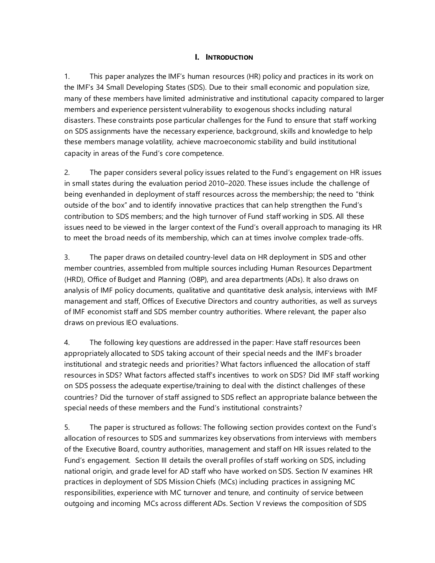#### **I. INTRODUCTION**

1. This paper analyzes the IMF's human resources (HR) policy and practices in its work on the IMF's 34 Small Developing States (SDS). Due to their small economic and population size, many of these members have limited administrative and institutional capacity compared to larger members and experience persistent vulnerability to exogenous shocks including natural disasters. These constraints pose particular challenges for the Fund to ensure that staff working on SDS assignments have the necessary experience, background, skills and knowledge to help these members manage volatility, achieve macroeconomic stability and build institutional capacity in areas of the Fund's core competence.

2. The paper considers several policy issues related to the Fund's engagement on HR issues in small states during the evaluation period 2010–2020. These issues include the challenge of being evenhanded in deployment of staff resources across the membership; the need to "think outside of the box" and to identify innovative practices that can help strengthen the Fund's contribution to SDS members; and the high turnover of Fund staff working in SDS. All these issues need to be viewed in the larger context of the Fund's overall approach to managing its HR to meet the broad needs of its membership, which can at times involve complex trade-offs.

3. The paper draws on detailed country-level data on HR deployment in SDS and other member countries, assembled from multiple sources including Human Resources Department (HRD), Office of Budget and Planning (OBP), and area departments (ADs). It also draws on analysis of IMF policy documents, qualitative and quantitative desk analysis, interviews with IMF management and staff, Offices of Executive Directors and country authorities, as well as surveys of IMF economist staff and SDS member country authorities. Where relevant, the paper also draws on previous IEO evaluations.

4. The following key questions are addressed in the paper: Have staff resources been appropriately allocated to SDS taking account of their special needs and the IMF's broader institutional and strategic needs and priorities? What factors influenced the allocation of staff resources in SDS? What factors affected staff's incentives to work on SDS? Did IMF staff working on SDS possess the adequate expertise/training to deal with the distinct challenges of these countries? Did the turnover of staff assigned to SDS reflect an appropriate balance between the special needs of these members and the Fund's institutional constraints?

5. The paper is structured as follows: The following section provides context on the Fund's allocation of resources to SDS and summarizes key observations from interviews with members of the Executive Board, country authorities, management and staff on HR issues related to the Fund's engagement. Section III details the overall profiles of staff working on SDS, including national origin, and grade level for AD staff who have worked on SDS. Section IV examines HR practices in deployment of SDS Mission Chiefs (MCs) including practices in assigning MC responsibilities, experience with MC turnover and tenure, and continuity of service between outgoing and incoming MCs across different ADs. Section V reviews the composition of SDS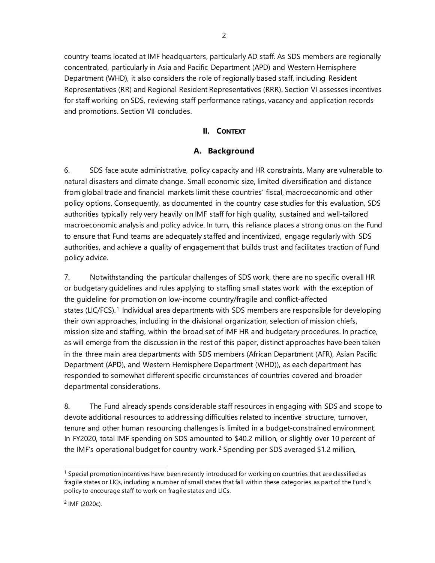country teams located at IMF headquarters, particularly AD staff. As SDS members are regionally concentrated, particularly in Asia and Pacific Department (APD) and Western Hemisphere Department (WHD), it also considers the role of regionally based staff, including Resident Representatives (RR) and Regional Resident Representatives (RRR). Section VI assesses incentives for staff working on SDS, reviewing staff performance ratings, vacancy and application records and promotions. Section VII concludes.

#### **II. CONTEXT**

## **A. Background**

6. SDS face acute administrative, policy capacity and HR constraints. Many are vulnerable to natural disasters and climate change. Small economic size, limited diversification and distance from global trade and financial markets limit these countries' fiscal, macroeconomic and other policy options. Consequently, as documented in the country case studies for this evaluation, SDS authorities typically rely very heavily on IMF staff for high quality, sustained and well-tailored macroeconomic analysis and policy advice. In turn, this reliance places a strong onus on the Fund to ensure that Fund teams are adequately staffed and incentivized, engage regularly with SDS authorities, and achieve a quality of engagement that builds trust and facilitates traction of Fund policy advice.

7. Notwithstanding the particular challenges of SDS work, there are no specific overall HR or budgetary guidelines and rules applying to staffing small states work with the exception of the guideline for promotion on low-income country/fragile and conflict-affected states (LIC/FCS). [1](#page-9-0) Individual area departments with SDS members are responsible for developing their own approaches, including in the divisional organization, selection of mission chiefs, mission size and staffing, within the broad set of IMF HR and budgetary procedures. In practice, as will emerge from the discussion in the rest of this paper, distinct approaches have been taken in the three main area departments with SDS members (African Department (AFR), Asian Pacific Department (APD), and Western Hemisphere Department (WHD)), as each department has responded to somewhat different specific circumstances of countries covered and broader departmental considerations.

8. The Fund already spends considerable staff resources in engaging with SDS and scope to devote additional resources to addressing difficulties related to incentive structure, turnover, tenure and other human resourcing challenges is limited in a budget-constrained environment. In FY2020, total IMF spending on SDS amounted to \$40.2 million, or slightly over 10 percent of the IMF's operational budget for country work.<sup>[2](#page-9-1)</sup> Spending per SDS averaged \$1.2 million,

<span id="page-9-0"></span> $1$  Special promotion incentives have been recently introduced for working on countries that are classified as fragile states or LICs, including a number of small states that fall within these categories. as part of the Fund's policy to encourage staff to work on fragile states and LICs.

<span id="page-9-1"></span><sup>2</sup> IMF (2020c).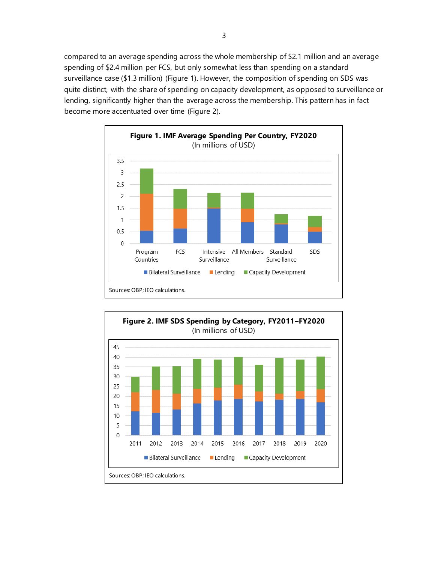compared to an average spending across the whole membership of \$2.1 million and an average spending of \$2.4 million per FCS, but only somewhat less than spending on a standard surveillance case (\$1.3 million) (Figure 1). However, the composition of spending on SDS was quite distinct, with the share of spending on capacity development, as opposed to surveillance or lending, significantly higher than the average across the membership. This pattern has in fact become more accentuated over time (Figure 2).



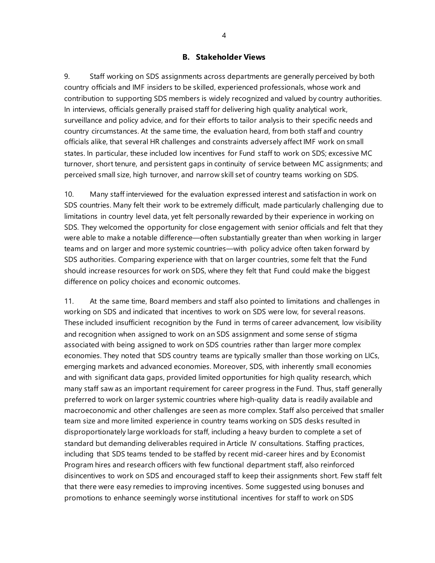#### **B. Stakeholder Views**

9. Staff working on SDS assignments across departments are generally perceived by both country officials and IMF insiders to be skilled, experienced professionals, whose work and contribution to supporting SDS members is widely recognized and valued by country authorities. In interviews, officials generally praised staff for delivering high quality analytical work, surveillance and policy advice, and for their efforts to tailor analysis to their specific needs and country circumstances. At the same time, the evaluation heard, from both staff and country officials alike, that several HR challenges and constraints adversely affect IMF work on small states. In particular, these included low incentives for Fund staff to work on SDS; excessive MC turnover, short tenure, and persistent gaps in continuity of service between MC assignments; and perceived small size, high turnover, and narrow skill set of country teams working on SDS.

10. Many staff interviewed for the evaluation expressed interest and satisfaction in work on SDS countries. Many felt their work to be extremely difficult, made particularly challenging due to limitations in country level data, yet felt personally rewarded by their experience in working on SDS. They welcomed the opportunity for close engagement with senior officials and felt that they were able to make a notable difference—often substantially greater than when working in larger teams and on larger and more systemic countries—with policy advice often taken forward by SDS authorities. Comparing experience with that on larger countries, some felt that the Fund should increase resources for work on SDS, where they felt that Fund could make the biggest difference on policy choices and economic outcomes.

11. At the same time, Board members and staff also pointed to limitations and challenges in working on SDS and indicated that incentives to work on SDS were low, for several reasons. These included insufficient recognition by the Fund in terms of career advancement, low visibility and recognition when assigned to work on an SDS assignment and some sense of stigma associated with being assigned to work on SDS countries rather than larger more complex economies. They noted that SDS country teams are typically smaller than those working on LICs, emerging markets and advanced economies. Moreover, SDS, with inherently small economies and with significant data gaps, provided limited opportunities for high quality research, which many staff saw as an important requirement for career progress in the Fund. Thus, staff generally preferred to work on larger systemic countries where high-quality data is readily available and macroeconomic and other challenges are seen as more complex. Staff also perceived that smaller team size and more limited experience in country teams working on SDS desks resulted in disproportionately large workloads for staff, including a heavy burden to complete a set of standard but demanding deliverables required in Article IV consultations. Staffing practices, including that SDS teams tended to be staffed by recent mid-career hires and by Economist Program hires and research officers with few functional department staff, also reinforced disincentives to work on SDS and encouraged staff to keep their assignments short. Few staff felt that there were easy remedies to improving incentives. Some suggested using bonuses and promotions to enhance seemingly worse institutional incentives for staff to work on SDS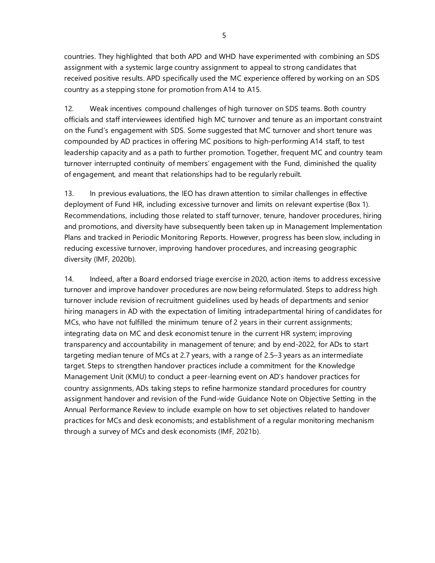countries. They highlighted that both APD and WHD have experimented with combining an SDS assignment with a systemic large country assignment to appeal to strong candidates that received positive results. APD specifically used the MC experience offered by working on an SDS country as a stepping stone for promotion from A14 to A15.

12. Weak incentives compound challenges of high turnover on SDS teams. Both country officials and staff interviewees identified high MC turnover and tenure as an important constraint on the Fund's engagement with SDS. Some suggested that MC turnover and short tenure was compounded by AD practices in offering MC positions to high-performing A14 staff, to test leadership capacity and as a path to further promotion. Together, frequent MC and country team turnover interrupted continuity of members' engagement with the Fund, diminished the quality of engagement, and meant that relationships had to be regularly rebuilt.

13. In previous evaluations, the IEO has drawn attention to similar challenges in effective deployment of Fund HR, including excessive turnover and limits on relevant expertise (Box 1). Recommendations, including those related to staff turnover, tenure, handover procedures, hiring and promotions, and diversity have subsequently been taken up in Management Implementation Plans and tracked in Periodic Monitoring Reports. However, progress has been slow, including in reducing excessive turnover, improving handover procedures, and increasing geographic diversity (IMF, 2020b).

14. Indeed, after a Board endorsed triage exercise in 2020, action items to address excessive turnover and improve handover procedures are now being reformulated. Steps to address high turnover include revision of recruitment guidelines used by heads of departments and senior hiring managers in AD with the expectation of limiting intradepartmental hiring of candidates for MCs, who have not fulfilled the minimum tenure of 2 years in their current assignments; integrating data on MC and desk economist tenure in the current HR system; improving transparency and accountability in management of tenure; and by end-2022, for ADs to start targeting median tenure of MCs at 2.7 years, with a range of 2.5–3 years as an intermediate target. Steps to strengthen handover practices include a commitment for the Knowledge Management Unit (KMU) to conduct a peer-learning event on AD's handover practices for country assignments, ADs taking steps to refine harmonize standard procedures for country assignment handover and revision of the Fund-wide Guidance Note on Objective Setting in the Annual Performance Review to include example on how to set objectives related to handover practices for MCs and desk economists; and establishment of a regular monitoring mechanism through a survey of MCs and desk economists (IMF, 2021b).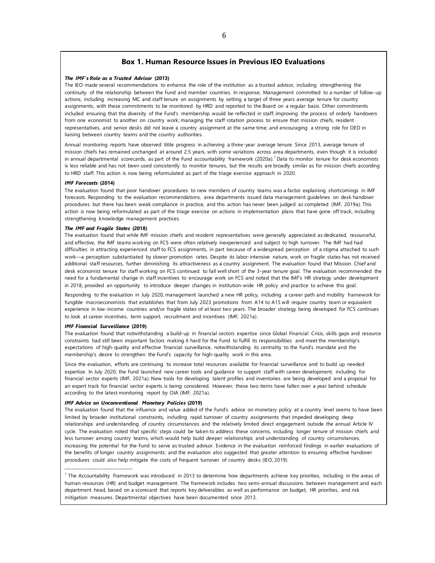#### **Box 1. Human Resource Issues in Previous IEO Evaluations**

#### *The IMF's Role as a Trusted Advisor* **(2013)**

The IEO made several recommendations to enhance the role of the institution as a trusted advisor, including strengthening the continuity of the relationship between the Fund and member countries. In response, Management committed to a number of follow-up actions, including increasing MC and staff tenure on assignments by setting a target of three years average tenure for country assignments, with these commitments to be monitored by HRD and reported to the Board on a regular basis. Other commitments included ensuring that the diversity of the Fund's membership would be reflected in staff; improving the process of orderly handovers from one economist to another on country work; managing the staff rotation process to ensure that mission chiefs, resident representatives, and senior desks did not leave a country assignment at the same time; and encouraging a strong role for OED in liaising between country teams and the country authorities.

Annual monitoring reports have observed little progress in achieving a three-year average tenure. Since 2013, average tenure of mission chiefs has remained unchanged at around 2.5 years, with some variations across area departments, even though it is included in annual departmental scorecards, as part of the Fund accountability framework (2020a).<sup>1</sup> Data to monitor tenure for desk economists is less reliable and has not been used consistently to monitor tenures, but the results are broadly similar as for mission chiefs according to HRD staff. This action is now being reformulated as part of the triage exercise approach in 2020.

#### *IMF Forecasts* **(2014)**

The evaluation found that poor handover procedures to new members of country teams was a factor explaining shortcomings in IMF forecasts. Responding to the evaluation recommendations, area departments issued data management guidelines on desk handover procedures but there has been weak compliance in practice, and this action has never been judged as completed (IMF, 2019a). This action is now being reformulated as part of the triage exercise on actions in implementation plans that have gone off track, including strengthening knowledge management practices.

#### *The IMF and Fragile States* **(2018)**

The evaluation found that while IMF mission chiefs and resident representatives were generally appreciated as dedicated, resourceful, and effective, the IMF teams working on FCS were often relatively inexperienced and subject to high turnover. The IMF had had difficulties in attracting experienced staff to FCS assignments, in part because of a widespread perception of a stigma attached to such work—a perception substantiated by slower promotion rates. Despite its labor-intensive nature, work on fragile states has not received additional staff resources, further diminishing its attractiveness as a country assignment. The evaluation found that Mission Chief and desk economist tenure for staff working on FCS continued to fall well short of the 3-year tenure goal. The evaluation recommended the need for a fundamental change in staff incentives to encourage work on FCS and noted that the IMF's HR strategy under development in 2018, provided an opportunity to introduce deeper changes in institution-wide HR policy and practice to achieve this goal.

Responding to the evaluation in July 2020, management launched a new HR policy, including a career path and mobility framework for fungible macroeconomists that establishes that from July 2023 promotions from A14 to A15 will require country team or equivalent experience in low-income countries and/or fragile states of at least two years. The broader strategy being developed for FCS continues to look at career incentives, term support, recruitment and incentives (IMF, 2021a).

#### *IMF Financial Surveillance* **(2019)**

\_\_\_\_\_\_\_\_\_\_\_\_\_\_\_\_\_\_\_\_\_\_\_\_\_\_\_\_\_\_

The evaluation found that notwithstanding a build-up in financial sectors expertise since Global Financial Crisis, skills gaps and resource constraints had still been important factors making it hard for the Fund to fulfill its responsibilities and meet the membership's expectations of high-quality and effective financial surveillance, notwithstanding its centrality to the Fund's mandate and the membership's desire to strengthen the Fund's capacity for high-quality work in this area.

Since the evaluation, efforts are continuing to increase total resources available for financial surveillance and to build up needed expertise. In July 2020, the Fund launched new career tools and guidance to support staff with career development, including for financial sector experts (IMF, 2021a). New tools for developing talent profiles and inventories are being developed and a proposal for an expert track for financial sector experts is being considered. However, these two items have fallen over a year behind schedule according to the latest monitoring report by OIA (IMF, 2021a).

#### *IMF Advice on Unconventional Monetary Policies* **(2019)**

The evaluation found that the influence and value added of the Fund's advice on monetary policy at a country level seems to have been limited by broader institutional constraints, including rapid turnover of country assignments that impeded developing deep relationships and understanding of country circumstances and the relatively limited direct engagement outside the annual Article IV cycle. The evaluation noted that specific steps could be taken to address these concerns, including longer tenure of mission chiefs and less turnover among country teams, which would help build deeper relationships and understanding of country circumstances, increasing the potential for the Fund to serve as trusted advisor. Evidence in the evaluation reinforced findings in earlier evaluations of the benefits of longer country assignments; and the evaluation also suggested that greater attention to ensuring effective handover procedures could also help mitigate the costs of frequent turnover of country desks (IEO, 2019).

<sup>1</sup> The Accountability Framework was introduced in 2013 to determine how departments achieve key priorities, including in the areas of human resources (HR) and budget management. The framework includes two semi-annual discussions between management and each department head, based on a scorecard that reports key deliverables as well as performance on budget, HR priorities, and risk mitigation measures. Departmental objectives have been documented since 2013.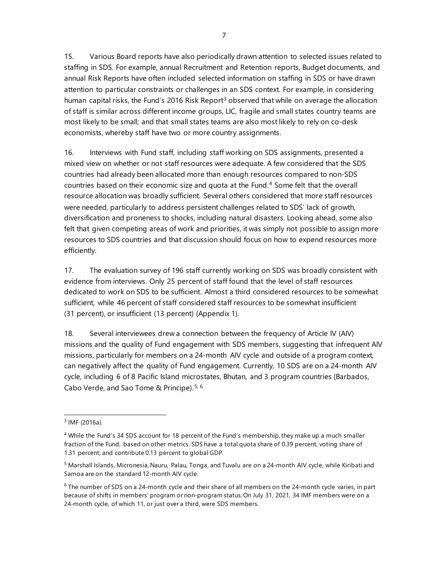15. Various Board reports have also periodically drawn attention to selected issues related to staffing in SDS. For example, annual Recruitment and Retention reports, Budget documents, and annual Risk Reports have often included selected information on staffing in SDS or have drawn attention to particular constraints or challenges in an SDS context. For example, in considering human capital risks, the Fund's 2016 Risk Report<sup>[3](#page-14-0)</sup> observed that while on average the allocation of staff is similar across different income groups, LIC, fragile and small states country teams are most likely to be small; and that small states teams are also most likely to rely on co-desk economists, whereby staff have two or more country assignments.

16. Interviews with Fund staff, including staff working on SDS assignments, presented a mixed view on whether or not staff resources were adequate. A few considered that the SDS countries had already been allocated more than enough resources compared to non-SDS countries based on their economic size and quota at the Fund. [4](#page-14-1) Some felt that the overall resource allocation was broadly sufficient. Several others considered that more staff resources were needed, particularly to address persistent challenges related to SDS' lack of growth, diversification and proneness to shocks, including natural disasters. Looking ahead, some also felt that given competing areas of work and priorities, it was simply not possible to assign more resources to SDS countries and that discussion should focus on how to expend resources more efficiently.

17. The evaluation survey of 196 staff currently working on SDS was broadly consistent with evidence from interviews. Only 25 percent of staff found that the level of staff resources dedicated to work on SDS to be sufficient. Almost a third considered resources to be somewhat sufficient, while 46 percent of staff considered staff resources to be somewhat insufficient (31 percent), or insufficient (13 percent) (Appendix 1).

18. Several interviewees drew a connection between the frequency of Article IV (AIV) missions and the quality of Fund engagement with SDS members, suggesting that infrequent AIV missions, particularly for members on a 24-month AIV cycle and outside of a program context, can negatively affect the quality of Fund engagement. Currently, 10 SDS are on a 24-month AIV cycle, including 6 of 8 Pacific Island microstates, Bhutan, and 3 program countries (Barbados, Cabo Verde, and Sao Tome & Principe).<sup>[5](#page-14-2), [6](#page-14-3)</sup>

<span id="page-14-0"></span> $3$  IMF (2016a).

<span id="page-14-1"></span><sup>4</sup> While the Fund's 34 SDS account for 18 percent of the Fund's membership, they make up a much smaller fraction of the Fund, based on other metrics. SDS have a total quota share of 0.39 percent, voting share of 1.31 percent; and contribute 0.13 percent to global GDP.

<span id="page-14-2"></span><sup>5</sup> Marshall Islands, Micronesia, Nauru, Palau, Tonga, and Tuvalu are on a 24-month AIV cycle, while Kiribati and Samoa are on the standard 12-month AIV cycle.

<span id="page-14-3"></span> $6$  The number of SDS on a 24-month cycle and their share of all members on the 24-month cycle varies, in part because of shifts in members' program or non-program status. On July 31, 2021, 34 IMF members were on a 24-month cycle, of which 11, or just over a third, were SDS members.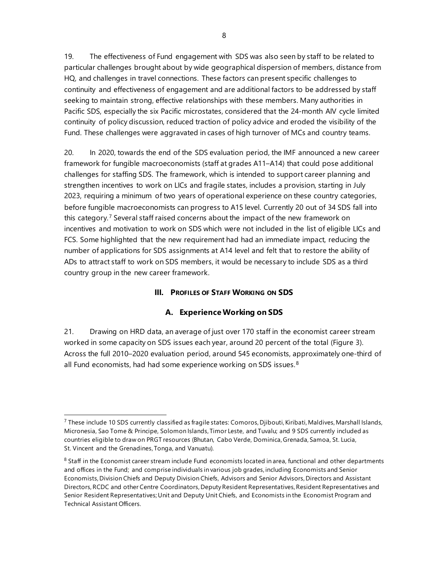19. The effectiveness of Fund engagement with SDS was also seen by staff to be related to particular challenges brought about by wide geographical dispersion of members, distance from HQ, and challenges in travel connections. These factors can present specific challenges to continuity and effectiveness of engagement and are additional factors to be addressed by staff seeking to maintain strong, effective relationships with these members. Many authorities in Pacific SDS, especially the six Pacific microstates, considered that the 24-month AIV cycle limited continuity of policy discussion, reduced traction of policy advice and eroded the visibility of the Fund. These challenges were aggravated in cases of high turnover of MCs and country teams.

20. In 2020, towards the end of the SDS evaluation period, the IMF announced a new career framework for fungible macroeconomists (staff at grades A11–A14) that could pose additional challenges for staffing SDS. The framework, which is intended to support career planning and strengthen incentives to work on LICs and fragile states, includes a provision, starting in July 2023, requiring a minimum of two years of operational experience on these country categories, before fungible macroeconomists can progress to A15 level. Currently 20 out of 34 SDS fall into this category.<sup>[7](#page-15-0)</sup> Several staff raised concerns about the impact of the new framework on incentives and motivation to work on SDS which were not included in the list of eligible LICs and FCS. Some highlighted that the new requirement had had an immediate impact, reducing the number of applications for SDS assignments at A14 level and felt that to restore the ability of ADs to attract staff to work on SDS members, it would be necessary to include SDS as a third country group in the new career framework.

# **III. PROFILES OF STAFF WORKING ON SDS**

# **A. Experience Working on SDS**

21. Drawing on HRD data, an average of just over 170 staff in the economist career stream worked in some capacity on SDS issues each year, around 20 percent of the total (Figure 3). Across the full 2010–2020 evaluation period, around 545 economists, approximately one-third of all Fund economists, had had some experience working on SDS issues.  $^8$  $^8$ 

<span id="page-15-0"></span> $^7$  These include 10 SDS currently classified as fragile states: Comoros, Djibouti, Kiribati, Maldives, Marshall Islands, Micronesia, Sao Tome & Principe, Solomon Islands, Timor Leste, and Tuvalu; and 9 SDS currently included as countries eligible to draw on PRGT resources (Bhutan, Cabo Verde, Dominica, Grenada, Samoa, St. Lucia, St. Vincent and the Grenadines, Tonga, and Vanuatu).

<span id="page-15-1"></span> $8$  Staff in the Economist career stream include Fund economists located in area, functional and other departments and offices in the Fund; and comprise individuals in various job grades, including Economists and Senior Economists, Division Chiefs and Deputy Division Chiefs, Advisors and Senior Advisors, Directors and Assistant Directors, RCDC and other Centre Coordinators, Deputy Resident Representatives, Resident Representatives and Senior Resident Representatives; Unit and Deputy Unit Chiefs, and Economists in the Economist Program and Technical Assistant Officers.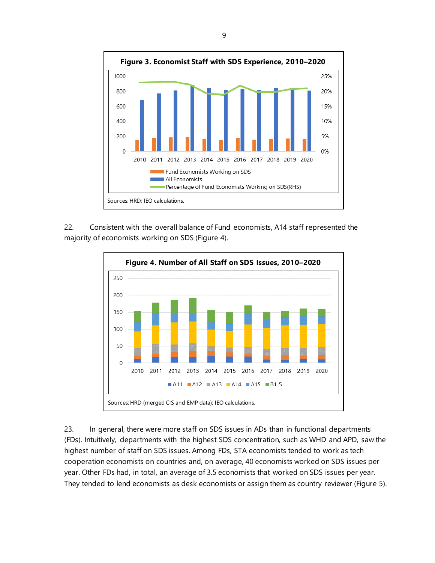

22. Consistent with the overall balance of Fund economists, A14 staff represented the majority of economists working on SDS (Figure 4).



23. In general, there were more staff on SDS issues in ADs than in functional departments (FDs). Intuitively, departments with the highest SDS concentration, such as WHD and APD, saw the highest number of staff on SDS issues. Among FDs, STA economists tended to work as tech cooperation economists on countries and, on average, 40 economists worked on SDS issues per year. Other FDs had, in total, an average of 3.5 economists that worked on SDS issues per year. They tended to lend economists as desk economists or assign them as country reviewer (Figure 5).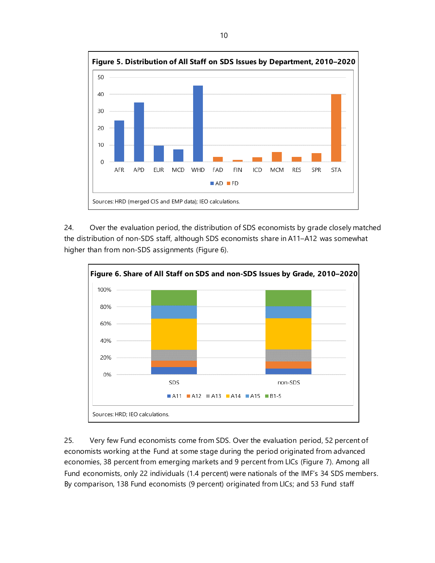

24. Over the evaluation period, the distribution of SDS economists by grade closely matched the distribution of non-SDS staff, although SDS economists share in A11–A12 was somewhat higher than from non-SDS assignments (Figure 6).



25. Very few Fund economists come from SDS. Over the evaluation period, 52 percent of economists working at the Fund at some stage during the period originated from advanced economies, 38 percent from emerging markets and 9 percent from LICs (Figure 7). Among all Fund economists, only 22 individuals (1.4 percent) were nationals of the IMF's 34 SDS members. By comparison, 138 Fund economists (9 percent) originated from LICs; and 53 Fund staff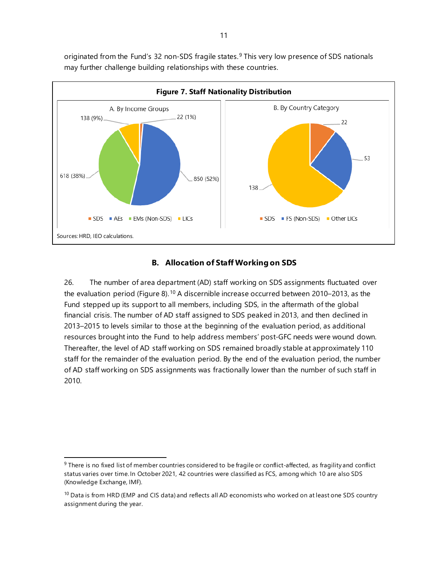

originated from the Fund's 32 non-SDS fragile states. [9](#page-18-0) This very low presence of SDS nationals may further challenge building relationships with these countries.

#### **B. Allocation of Staff Working on SDS**

26. The number of area department (AD) staff working on SDS assignments fluctuated over the evaluation period (Figure 8).<sup>[10](#page-18-1)</sup> A discernible increase occurred between 2010–2013, as the Fund stepped up its support to all members, including SDS, in the aftermath of the global financial crisis. The number of AD staff assigned to SDS peaked in 2013, and then declined in 2013–2015 to levels similar to those at the beginning of the evaluation period, as additional resources brought into the Fund to help address members' post-GFC needs were wound down. Thereafter, the level of AD staff working on SDS remained broadly stable at approximately 110 staff for the remainder of the evaluation period. By the end of the evaluation period, the number of AD staff working on SDS assignments was fractionally lower than the number of such staff in 2010.

<span id="page-18-0"></span> $9$  There is no fixed list of member countries considered to be fragile or conflict-affected, as fragility and conflict status varies over time. In October 2021, 42 countries were classified as FCS, among which 10 are also SDS (Knowledge Exchange, IMF).

<span id="page-18-1"></span> $10$  Data is from HRD (EMP and CIS data) and reflects all AD economists who worked on at least one SDS country assignment during the year.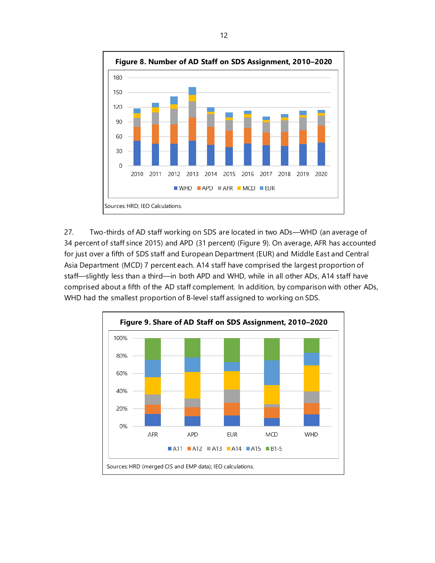

27. Two-thirds of AD staff working on SDS are located in two ADs—WHD (an average of 34 percent of staff since 2015) and APD (31 percent) (Figure 9). On average, AFR has accounted for just over a fifth of SDS staff and European Department (EUR) and Middle East and Central Asia Department (MCD) 7 percent each. A14 staff have comprised the largest proportion of staff—slightly less than a third—in both APD and WHD, while in all other ADs, A14 staff have comprised about a fifth of the AD staff complement. In addition, by comparison with other ADs, WHD had the smallest proportion of B-level staff assigned to working on SDS.

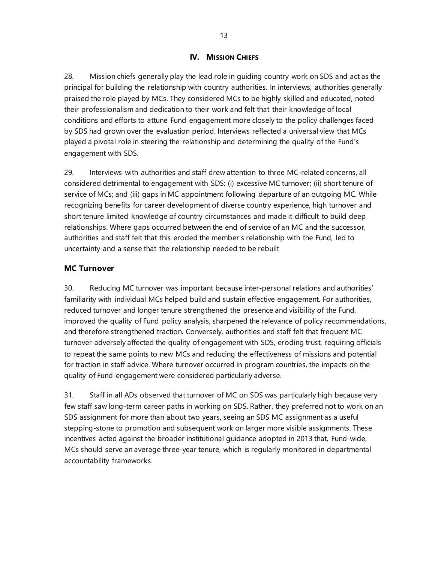#### **IV. MISSION CHIEFS**

28. Mission chiefs generally play the lead role in guiding country work on SDS and act as the principal for building the relationship with country authorities. In interviews, authorities generally praised the role played by MCs. They considered MCs to be highly skilled and educated, noted their professionalism and dedication to their work and felt that their knowledge of local conditions and efforts to attune Fund engagement more closely to the policy challenges faced by SDS had grown over the evaluation period. Interviews reflected a universal view that MCs played a pivotal role in steering the relationship and determining the quality of the Fund's engagement with SDS.

29. Interviews with authorities and staff drew attention to three MC-related concerns, all considered detrimental to engagement with SDS: (i) excessive MC turnover; (ii) short tenure of service of MCs; and (iii) gaps in MC appointment following departure of an outgoing MC. While recognizing benefits for career development of diverse country experience, high turnover and short tenure limited knowledge of country circumstances and made it difficult to build deep relationships. Where gaps occurred between the end of service of an MC and the successor, authorities and staff felt that this eroded the member's relationship with the Fund, led to uncertainty and a sense that the relationship needed to be rebuilt

## **MC Turnover**

30. Reducing MC turnover was important because inter-personal relations and authorities' familiarity with individual MCs helped build and sustain effective engagement. For authorities, reduced turnover and longer tenure strengthened the presence and visibility of the Fund, improved the quality of Fund policy analysis, sharpened the relevance of policy recommendations, and therefore strengthened traction. Conversely, authorities and staff felt that frequent MC turnover adversely affected the quality of engagement with SDS, eroding trust, requiring officials to repeat the same points to new MCs and reducing the effectiveness of missions and potential for traction in staff advice. Where turnover occurred in program countries, the impacts on the quality of Fund engagement were considered particularly adverse.

31. Staff in all ADs observed that turnover of MC on SDS was particularly high because very few staff saw long-term career paths in working on SDS. Rather, they preferred not to work on an SDS assignment for more than about two years, seeing an SDS MC assignment as a useful stepping-stone to promotion and subsequent work on larger more visible assignments. These incentives acted against the broader institutional guidance adopted in 2013 that, Fund-wide, MCs should serve an average three-year tenure, which is regularly monitored in departmental accountability frameworks.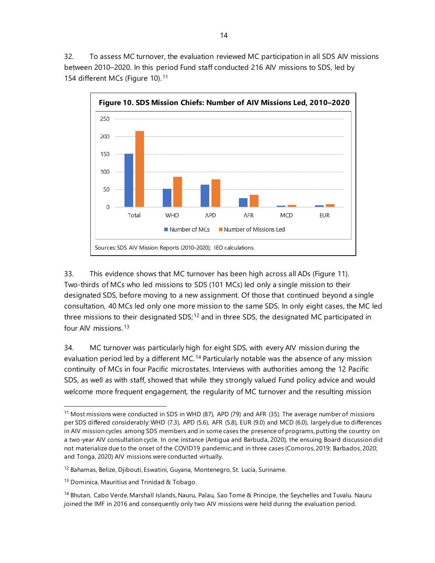32. To assess MC turnover, the evaluation reviewed MC participation in all SDS AIV missions between 2010–2020. In this period Fund staff conducted 216 AIV missions to SDS, led by 154 different MCs (Figure 10).<sup>[11](#page-21-0)</sup>



33. This evidence shows that MC turnover has been high across all ADs (Figure 11). Two-thirds of MCs who led missions to SDS (101 MCs) led only a single mission to their designated SDS, before moving to a new assignment. Of those that continued beyond a single consultation, 40 MCs led only one more mission to the same SDS. In only eight cases, the MC led three missions to their designated SDS;<sup>[12](#page-21-1)</sup> and in three SDS, the designated MC participated in four AIV missions.[13](#page-21-2)

34. MC turnover was particularly high for eight SDS, with every AIV mission during the evaluation period led by a different MC.<sup>[14](#page-21-3)</sup> Particularly notable was the absence of any mission continuity of MCs in four Pacific microstates. Interviews with authorities among the 12 Pacific SDS, as well as with staff, showed that while they strongly valued Fund policy advice and would welcome more frequent engagement, the regularity of MC turnover and the resulting mission

<span id="page-21-0"></span> $11$  Most missions were conducted in SDS in WHD (87), APD (79) and AFR (35). The average number of missions per SDS differed considerably: WHD (7.3), APD (5.6), AFR (5.8), EUR (9.0) and MCD (6.0), largely due to differences in AIV mission cycles among SDS members and in some cases the presence of programs, putting the country on a two-year AIV consultation cycle. In one instance (Antigua and Barbuda, 2020), the ensuing Board discussion did not materialize due to the onset of the COVID19 pandemic; and in three cases (Comoros, 2019; Barbados, 2020; and Tonga, 2020) AIV missions were conducted virtually.

<span id="page-21-1"></span><sup>12</sup> Bahamas, Belize, Djibouti, Eswatini, Guyana, Montenegro, St. Lucia, Suriname.

<span id="page-21-2"></span><sup>&</sup>lt;sup>13</sup> Dominica, Mauritius and Trinidad & Tobago.

<span id="page-21-3"></span><sup>&</sup>lt;sup>14</sup> Bhutan, Cabo Verde, Marshall Islands, Nauru, Palau, Sao Tome & Principe, the Seychelles and Tuvalu. Nauru joined the IMF in 2016 and consequently only two AIV missions were held during the evaluation period.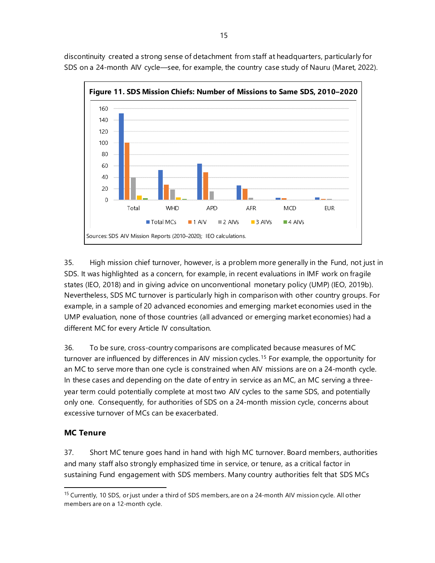discontinuity created a strong sense of detachment from staff at headquarters, particularly for SDS on a 24-month AIV cycle—see, for example, the country case study of Nauru (Maret, 2022).



35. High mission chief turnover, however, is a problem more generally in the Fund, not just in SDS. It was highlighted as a concern, for example, in recent evaluations in IMF work on fragile states (IEO, 2018) and in giving advice on unconventional monetary policy (UMP) (IEO, 2019b). Nevertheless, SDS MC turnover is particularly high in comparison with other country groups. For example, in a sample of 20 advanced economies and emerging market economies used in the UMP evaluation, none of those countries (all advanced or emerging market economies) had a different MC for every Article IV consultation.

36. To be sure, cross-country comparisons are complicated because measures of MC turnover are influenced by differences in AIV mission cycles.<sup>[15](#page-22-0)</sup> For example, the opportunity for an MC to serve more than one cycle is constrained when AIV missions are on a 24-month cycle. In these cases and depending on the date of entry in service as an MC, an MC serving a threeyear term could potentially complete at most two AIV cycles to the same SDS, and potentially only one. Consequently, for authorities of SDS on a 24-month mission cycle, concerns about excessive turnover of MCs can be exacerbated.

# **MC Tenure**

37. Short MC tenure goes hand in hand with high MC turnover. Board members, authorities and many staff also strongly emphasized time in service, or tenure, as a critical factor in sustaining Fund engagement with SDS members. Many country authorities felt that SDS MCs

<span id="page-22-0"></span><sup>&</sup>lt;sup>15</sup> Currently, 10 SDS, or just under a third of SDS members, are on a 24-month AIV mission cycle. All other members are on a 12-month cycle.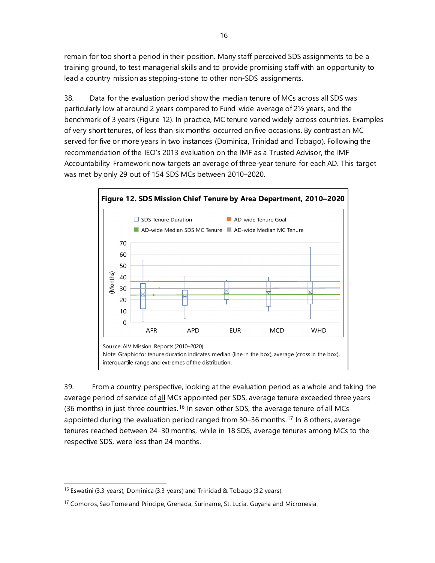remain for too short a period in their position. Many staff perceived SDS assignments to be a training ground, to test managerial skills and to provide promising staff with an opportunity to lead a country mission as stepping-stone to other non-SDS assignments.

38. Data for the evaluation period show the median tenure of MCs across all SDS was particularly low at around 2 years compared to Fund-wide average of 2½ years, and the benchmark of 3 years (Figure 12). In practice, MC tenure varied widely across countries. Examples of very short tenures, of less than six months occurred on five occasions. By contrast an MC served for five or more years in two instances (Dominica, Trinidad and Tobago). Following the recommendation of the IEO's 2013 evaluation on the IMF as a Trusted Advisor, the IMF Accountability Framework now targets an average of three-year tenure for each AD. This target was met by only 29 out of 154 SDS MCs between 2010–2020.



39. From a country perspective, looking at the evaluation period as a whole and taking the average period of service of all MCs appointed per SDS, average tenure exceeded three years (36 months) in just three countries.<sup>[16](#page-23-0)</sup> In seven other SDS, the average tenure of all MCs appointed during the evaluation period ranged from 30–36 months.<sup>[17](#page-23-1)</sup> In 8 others, average tenures reached between 24–30 months, while in 18 SDS, average tenures among MCs to the respective SDS, were less than 24 months.

<span id="page-23-0"></span><sup>&</sup>lt;sup>16</sup> Eswatini (3.3 years), Dominica (3.3 years) and Trinidad & Tobago (3.2 years).

<span id="page-23-1"></span><sup>&</sup>lt;sup>17</sup> Comoros, Sao Tome and Principe, Grenada, Suriname, St. Lucia, Guyana and Micronesia.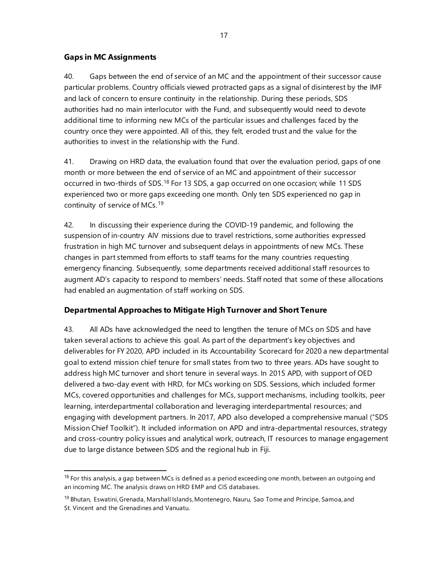# **Gaps in MC Assignments**

40. Gaps between the end of service of an MC and the appointment of their successor cause particular problems. Country officials viewed protracted gaps as a signal of disinterest by the IMF and lack of concern to ensure continuity in the relationship. During these periods, SDS authorities had no main interlocutor with the Fund, and subsequently would need to devote additional time to informing new MCs of the particular issues and challenges faced by the country once they were appointed. All of this, they felt, eroded trust and the value for the authorities to invest in the relationship with the Fund.

41. Drawing on HRD data, the evaluation found that over the evaluation period, gaps of one month or more between the end of service of an MC and appointment of their successor occurred in two-thirds of SDS.[18](#page-24-0) For 13 SDS, a gap occurred on one occasion; while 11 SDS experienced two or more gaps exceeding one month. Only ten SDS experienced no gap in continuity of service of MCs.<sup>[19](#page-24-1)</sup>

42. In discussing their experience during the COVID-19 pandemic, and following the suspension of in-country AIV missions due to travel restrictions, some authorities expressed frustration in high MC turnover and subsequent delays in appointments of new MCs. These changes in part stemmed from efforts to staff teams for the many countries requesting emergency financing. Subsequently, some departments received additional staff resources to augment AD's capacity to respond to members' needs. Staff noted that some of these allocations had enabled an augmentation of staff working on SDS.

# **Departmental Approaches to Mitigate High Turnover and Short Tenure**

43. All ADs have acknowledged the need to lengthen the tenure of MCs on SDS and have taken several actions to achieve this goal. As part of the department's key objectives and deliverables for FY 2020, APD included in its Accountability Scorecard for 2020 a new departmental goal to extend mission chief tenure for small states from two to three years. ADs have sought to address high MC turnover and short tenure in several ways. In 2015 APD, with support of OED delivered a two-day event with HRD, for MCs working on SDS. Sessions, which included former MCs, covered opportunities and challenges for MCs, support mechanisms, including toolkits, peer learning, interdepartmental collaboration and leveraging interdepartmental resources; and engaging with development partners. In 2017, APD also developed a comprehensive manual ("SDS Mission Chief Toolkit"). It included information on APD and intra-departmental resources, strategy and cross-country policy issues and analytical work, outreach, IT resources to manage engagement due to large distance between SDS and the regional hub in Fiji.

<span id="page-24-0"></span><sup>&</sup>lt;sup>18</sup> For this analysis, a gap between MCs is defined as a period exceeding one month, between an outgoing and an incoming MC. The analysis draws on HRD EMP and CIS databases.

<span id="page-24-1"></span><sup>&</sup>lt;sup>19</sup> Bhutan, Eswatini, Grenada, Marshall Islands, Montenegro, Nauru, Sao Tome and Principe, Samoa, and St. Vincent and the Grenadines and Vanuatu.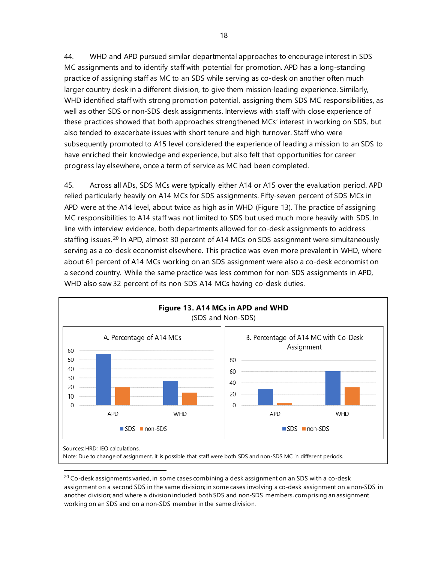44. WHD and APD pursued similar departmental approaches to encourage interest in SDS MC assignments and to identify staff with potential for promotion. APD has a long-standing practice of assigning staff as MC to an SDS while serving as co-desk on another often much larger country desk in a different division, to give them mission-leading experience. Similarly, WHD identified staff with strong promotion potential, assigning them SDS MC responsibilities, as well as other SDS or non-SDS desk assignments. Interviews with staff with close experience of these practices showed that both approaches strengthened MCs' interest in working on SDS, but also tended to exacerbate issues with short tenure and high turnover. Staff who were subsequently promoted to A15 level considered the experience of leading a mission to an SDS to have enriched their knowledge and experience, but also felt that opportunities for career progress lay elsewhere, once a term of service as MC had been completed.

45. Across all ADs, SDS MCs were typically either A14 or A15 over the evaluation period. APD relied particularly heavily on A14 MCs for SDS assignments. Fifty-seven percent of SDS MCs in APD were at the A14 level, about twice as high as in WHD (Figure 13). The practice of assigning MC responsibilities to A14 staff was not limited to SDS but used much more heavily with SDS. In line with interview evidence, both departments allowed for co-desk assignments to address staffing issues.<sup>[20](#page-25-0)</sup> In APD, almost 30 percent of A14 MCs on SDS assignment were simultaneously serving as a co-desk economist elsewhere. This practice was even more prevalent in WHD, where about 61 percent of A14 MCs working on an SDS assignment were also a co-desk economist on a second country. While the same practice was less common for non-SDS assignments in APD, WHD also saw 32 percent of its non-SDS A14 MCs having co-desk duties.



<span id="page-25-0"></span> $20$  Co-desk assignments varied, in some cases combining a desk assignment on an SDS with a co-desk assignment on a second SDS in the same division; in some cases involving a co-desk assignment on a non-SDS in another division; and where a division included both SDS and non-SDS members, comprising an assignment working on an SDS and on a non-SDS member in the same division.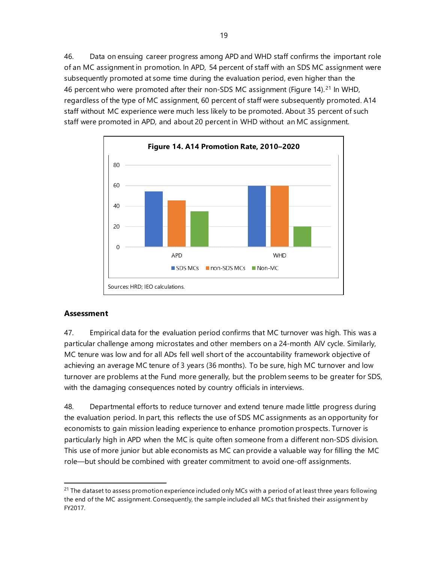46. Data on ensuing career progress among APD and WHD staff confirms the important role of an MC assignment in promotion. In APD, 54 percent of staff with an SDS MC assignment were subsequently promoted at some time during the evaluation period, even higher than the 46 percent who were promoted after their non-SDS MC assignment (Figure 14).<sup>[21](#page-26-0)</sup> In WHD, regardless of the type of MC assignment, 60 percent of staff were subsequently promoted. A14 staff without MC experience were much less likely to be promoted. About 35 percent of such staff were promoted in APD, and about 20 percent in WHD without an MC assignment.



#### **Assessment**

47. Empirical data for the evaluation period confirms that MC turnover was high. This was a particular challenge among microstates and other members on a 24-month AIV cycle. Similarly, MC tenure was low and for all ADs fell well short of the accountability framework objective of achieving an average MC tenure of 3 years (36 months). To be sure, high MC turnover and low turnover are problems at the Fund more generally, but the problem seems to be greater for SDS, with the damaging consequences noted by country officials in interviews.

48. Departmental efforts to reduce turnover and extend tenure made little progress during the evaluation period. In part, this reflects the use of SDS MC assignments as an opportunity for economists to gain mission leading experience to enhance promotion prospects. Turnover is particularly high in APD when the MC is quite often someone from a different non-SDS division. This use of more junior but able economists as MC can provide a valuable way for filling the MC role—but should be combined with greater commitment to avoid one-off assignments.

<span id="page-26-0"></span><sup>&</sup>lt;sup>21</sup> The dataset to assess promotion experience included only MCs with a period of at least three years following the end of the MC assignment. Consequently, the sample included all MCs that finished their assignment by FY2017.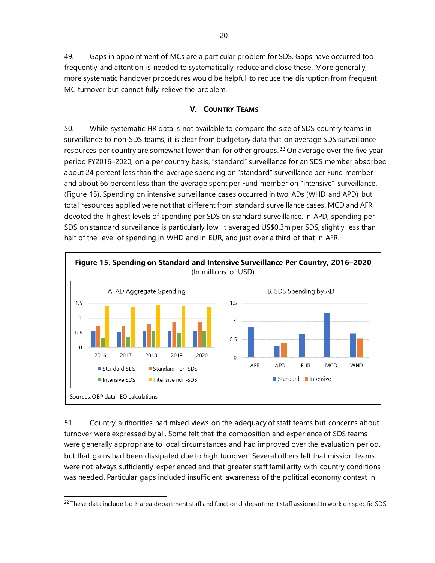49. Gaps in appointment of MCs are a particular problem for SDS. Gaps have occurred too frequently and attention is needed to systematically reduce and close these. More generally, more systematic handover procedures would be helpful to reduce the disruption from frequent MC turnover but cannot fully relieve the problem.

#### **V. COUNTRY TEAMS**

50. While systematic HR data is not available to compare the size of SDS country teams in surveillance to non-SDS teams, it is clear from budgetary data that on average SDS surveillance resources per country are somewhat lower than for other groups.<sup>[22](#page-27-0)</sup> On average over the five year period FY2016–2020, on a per country basis, "standard" surveillance for an SDS member absorbed about 24 percent less than the average spending on "standard" surveillance per Fund member and about 66 percent less than the average spent per Fund member on "intensive" surveillance. (Figure 15). Spending on intensive surveillance cases occurred in two ADs (WHD and APD) but total resources applied were not that different from standard surveillance cases. MCD and AFR devoted the highest levels of spending per SDS on standard surveillance. In APD, spending per SDS on standard surveillance is particularly low. It averaged US\$0.3m per SDS, slightly less than half of the level of spending in WHD and in EUR, and just over a third of that in AFR.



51. Country authorities had mixed views on the adequacy of staff teams but concerns about turnover were expressed by all. Some felt that the composition and experience of SDS teams were generally appropriate to local circumstances and had improved over the evaluation period, but that gains had been dissipated due to high turnover. Several others felt that mission teams were not always sufficiently experienced and that greater staff familiarity with country conditions was needed. Particular gaps included insufficient awareness of the political economy context in

<span id="page-27-0"></span><sup>&</sup>lt;sup>22</sup> These data include both area department staff and functional department staff assigned to work on specific SDS.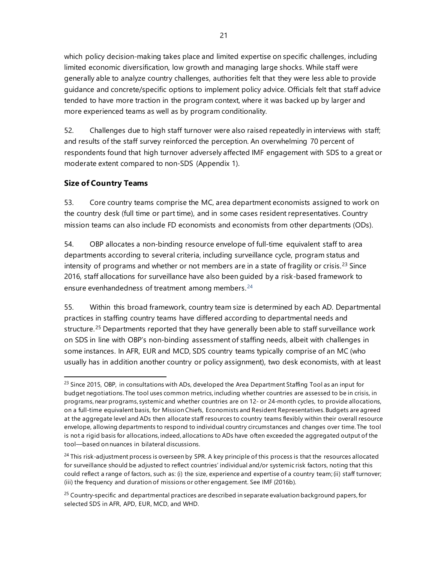which policy decision-making takes place and limited expertise on specific challenges, including limited economic diversification, low growth and managing large shocks. While staff were generally able to analyze country challenges, authorities felt that they were less able to provide guidance and concrete/specific options to implement policy advice. Officials felt that staff advice tended to have more traction in the program context, where it was backed up by larger and more experienced teams as well as by program conditionality.

52. Challenges due to high staff turnover were also raised repeatedly in interviews with staff; and results of the staff survey reinforced the perception. An overwhelming 70 percent of respondents found that high turnover adversely affected IMF engagement with SDS to a great or moderate extent compared to non-SDS (Appendix 1).

# **Size of Country Teams**

53. Core country teams comprise the MC, area department economists assigned to work on the country desk (full time or part time), and in some cases resident representatives. Country mission teams can also include FD economists and economists from other departments (ODs).

54. OBP allocates a non-binding resource envelope of full-time equivalent staff to area departments according to several criteria, including surveillance cycle, program status and intensity of programs and whether or not members are in a state of fragility or crisis.<sup>[23](#page-28-0)</sup> Since 2016, staff allocations for surveillance have also been guided by a risk-based framework to ensure evenhandedness of treatment among members.<sup>[24](#page-28-1)</sup>

55. Within this broad framework, country team size is determined by each AD. Departmental practices in staffing country teams have differed according to departmental needs and structure.<sup>[25](#page-28-2)</sup> Departments reported that they have generally been able to staff surveillance work on SDS in line with OBP's non-binding assessment of staffing needs, albeit with challenges in some instances. In AFR, EUR and MCD, SDS country teams typically comprise of an MC (who usually has in addition another country or policy assignment), two desk economists, with at least

<span id="page-28-0"></span> $^{23}$  Since 2015, OBP, in consultations with ADs, developed the Area Department Staffing Tool as an input for budget negotiations. The tool uses common metrics, including whether countries are assessed to be in crisis, in programs, near programs, systemic and whether countries are on 12- or 24-month cycles, to provide allocations, on a full-time equivalent basis, for Mission Chiefs, Economists and Resident Representatives. Budgets are agreed at the aggregate level and ADs then allocate staff resources to country teams flexibly within their overall resource envelope, allowing departments to respond to individual country circumstances and changes over time. The tool is not a rigid basis for allocations, indeed, allocations to ADs have often exceeded the aggregated output of the tool—based on nuances in bilateral discussions.

<span id="page-28-1"></span><sup>&</sup>lt;sup>24</sup> This risk-adjustment process is overseen by SPR. A key principle of this process is that the resources allocated for surveillance should be adjusted to reflect countries' individual and/or systemic risk factors, noting that this could reflect a range of factors, such as: (i) the size, experience and expertise of a country team; (ii) staff turnover; (iii) the frequency and duration of missions or other engagement. See IMF (2016b).

<span id="page-28-2"></span><sup>&</sup>lt;sup>25</sup> Country-specific and departmental practices are described in separate evaluation background papers, for selected SDS in AFR, APD, EUR, MCD, and WHD.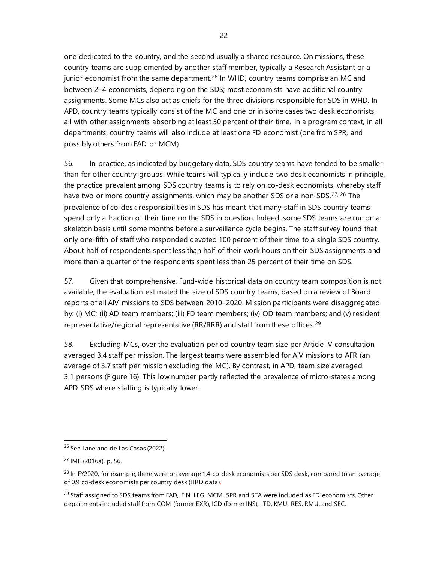one dedicated to the country, and the second usually a shared resource. On missions, these country teams are supplemented by another staff member, typically a Research Assistant or a junior economist from the same department.<sup>[26](#page-29-0)</sup> In WHD, country teams comprise an MC and between 2–4 economists, depending on the SDS; most economists have additional country assignments. Some MCs also act as chiefs for the three divisions responsible for SDS in WHD. In APD, country teams typically consist of the MC and one or in some cases two desk economists, all with other assignments absorbing at least 50 percent of their time. In a program context, in all departments, country teams will also include at least one FD economist (one from SPR, and possibly others from FAD or MCM).

56. In practice, as indicated by budgetary data, SDS country teams have tended to be smaller than for other country groups. While teams will typically include two desk economists in principle, the practice prevalent among SDS country teams is to rely on co-desk economists, whereby staff have two or more country assignments, which may be another SDS or a non-SDS.<sup>[27](#page-29-1), [28](#page-29-2)</sup> The prevalence of co-desk responsibilities in SDS has meant that many staff in SDS country teams spend only a fraction of their time on the SDS in question. Indeed, some SDS teams are run on a skeleton basis until some months before a surveillance cycle begins. The staff survey found that only one-fifth of staff who responded devoted 100 percent of their time to a single SDS country. About half of respondents spent less than half of their work hours on their SDS assignments and more than a quarter of the respondents spent less than 25 percent of their time on SDS.

57. Given that comprehensive, Fund-wide historical data on country team composition is not available, the evaluation estimated the size of SDS country teams, based on a review of Board reports of all AIV missions to SDS between 2010–2020. Mission participants were disaggregated by: (i) MC; (ii) AD team members; (iii) FD team members; (iv) OD team members; and (v) resident representative/regional representative (RR/RRR) and staff from these offices.<sup>[29](#page-29-3)</sup>

58. Excluding MCs, over the evaluation period country team size per Article IV consultation averaged 3.4 staff per mission. The largest teams were assembled for AIV missions to AFR (an average of 3.7 staff per mission excluding the MC). By contrast, in APD, team size averaged 3.1 persons (Figure 16). This low number partly reflected the prevalence of micro-states among APD SDS where staffing is typically lower.

<span id="page-29-0"></span><sup>&</sup>lt;sup>26</sup> See Lane and de Las Casas (2022).

<span id="page-29-1"></span><sup>27</sup> IMF (2016a), p. 56.

<span id="page-29-2"></span> $^{28}$  In FY2020, for example, there were on average 1.4 co-desk economists per SDS desk, compared to an average of 0.9 co-desk economists per country desk (HRD data).

<span id="page-29-3"></span> $^{29}$  Staff assigned to SDS teams from FAD, FIN, LEG, MCM, SPR and STA were included as FD economists. Other departments included staff from COM (former EXR), ICD (former INS), ITD, KMU, RES, RMU, and SEC.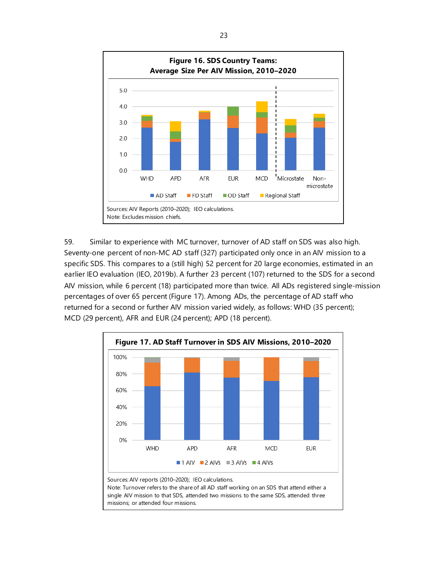

59. Similar to experience with MC turnover, turnover of AD staff on SDS was also high. Seventy-one percent of non-MC AD staff (327) participated only once in an AIV mission to a specific SDS. This compares to a (still high) 52 percent for 20 large economies, estimated in an earlier IEO evaluation (IEO, 2019b). A further 23 percent (107) returned to the SDS for a second AIV mission, while 6 percent (18) participated more than twice. All ADs registered single-mission percentages of over 65 percent (Figure 17). Among ADs, the percentage of AD staff who returned for a second or further AIV mission varied widely, as follows: WHD (35 percent); MCD (29 percent), AFR and EUR (24 percent); APD (18 percent).

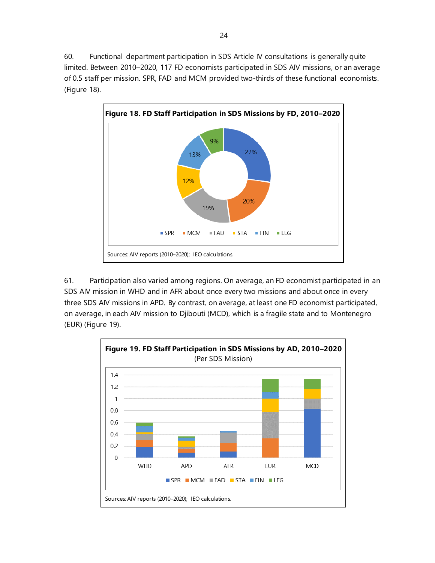60. Functional department participation in SDS Article IV consultations is generally quite limited. Between 2010–2020, 117 FD economists participated in SDS AIV missions, or an average of 0.5 staff per mission. SPR, FAD and MCM provided two-thirds of these functional economists. (Figure 18).



61. Participation also varied among regions. On average, an FD economist participated in an SDS AIV mission in WHD and in AFR about once every two missions and about once in every three SDS AIV missions in APD. By contrast, on average, at least one FD economist participated, on average, in each AIV mission to Djibouti (MCD), which is a fragile state and to Montenegro (EUR) (Figure 19).

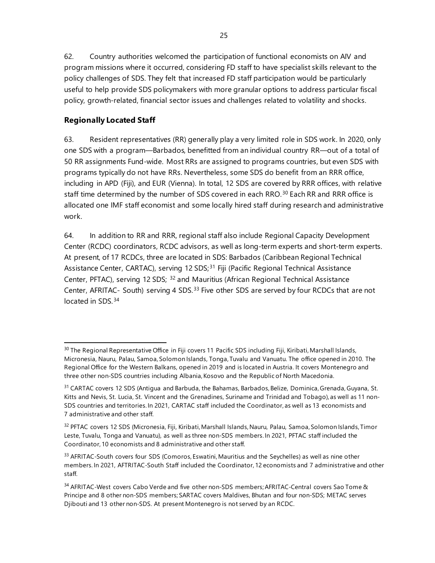62. Country authorities welcomed the participation of functional economists on AIV and program missions where it occurred, considering FD staff to have specialist skills relevant to the policy challenges of SDS. They felt that increased FD staff participation would be particularly useful to help provide SDS policymakers with more granular options to address particular fiscal policy, growth-related, financial sector issues and challenges related to volatility and shocks.

# **Regionally Located Staff**

63. Resident representatives (RR) generally play a very limited role in SDS work. In 2020, only one SDS with a program—Barbados, benefitted from an individual country RR—out of a total of 50 RR assignments Fund-wide. Most RRs are assigned to programs countries, but even SDS with programs typically do not have RRs. Nevertheless, some SDS do benefit from an RRR office, including in APD (Fiji), and EUR (Vienna). In total, 12 SDS are covered by RRR offices, with relative staff time determined by the number of SDS covered in each RRO.<sup>[30](#page-32-0)</sup> Each RR and RRR office is allocated one IMF staff economist and some locally hired staff during research and administrative work.

64. In addition to RR and RRR, regional staff also include Regional Capacity Development Center (RCDC) coordinators, RCDC advisors, as well as long-term experts and short-term experts. At present, of 17 RCDCs, three are located in SDS: Barbados (Caribbean Regional Technical Assistance Center, CARTAC), serving 12 SDS;<sup>[31](#page-32-1)</sup> Fiji (Pacific Regional Technical Assistance Center, PFTAC), serving 12 SDS; [32](#page-32-2) and Mauritius (African Regional Technical Assistance Center, AFRITAC- South) serving 4 SDS.<sup>[33](#page-32-3)</sup> Five other SDS are served by four RCDCs that are not located in SDS. [34](#page-32-4)

<span id="page-32-0"></span><sup>&</sup>lt;sup>30</sup> The Regional Representative Office in Fiji covers 11 Pacific SDS including Fiji, Kiribati, Marshall Islands, Micronesia, Nauru, Palau, Samoa, Solomon Islands, Tonga, Tuvalu and Vanuatu. The office opened in 2010. The Regional Office for the Western Balkans, opened in 2019 and is located in Austria. It covers Montenegro and three other non-SDS countries including Albania, Kosovo and the Republic of North Macedonia.

<span id="page-32-1"></span><sup>&</sup>lt;sup>31</sup> CARTAC covers 12 SDS (Antigua and Barbuda, the Bahamas, Barbados, Belize, Dominica, Grenada, Guyana, St. Kitts and Nevis, St. Lucia, St. Vincent and the Grenadines, Suriname and Trinidad and Tobago), as well as 11 non-SDS countries and territories. In 2021, CARTAC staff included the Coordinator, as well as 13 economists and 7 administrative and other staff.

<span id="page-32-2"></span><sup>32</sup> PFTAC covers 12 SDS (Micronesia, Fiji, Kiribati, Marshall Islands, Nauru, Palau, Samoa, Solomon Islands, Timor Leste, Tuvalu, Tonga and Vanuatu), as well as three non-SDS members. In 2021, PFTAC staff included the Coordinator, 10 economists and 8 administrative and other staff.

<span id="page-32-3"></span> $33$  AFRITAC-South covers four SDS (Comoros, Eswatini, Mauritius and the Seychelles) as well as nine other members. In 2021, AFTRITAC-South Staff included the Coordinator, 12 economists and 7 administrative and other staff.

<span id="page-32-4"></span><sup>&</sup>lt;sup>34</sup> AFRITAC-West covers Cabo Verde and five other non-SDS members; AFRITAC-Central covers Sao Tome & Principe and 8 other non-SDS members; SARTAC covers Maldives, Bhutan and four non-SDS; METAC serves Djibouti and 13 other non-SDS. At present Montenegro is not served by an RCDC.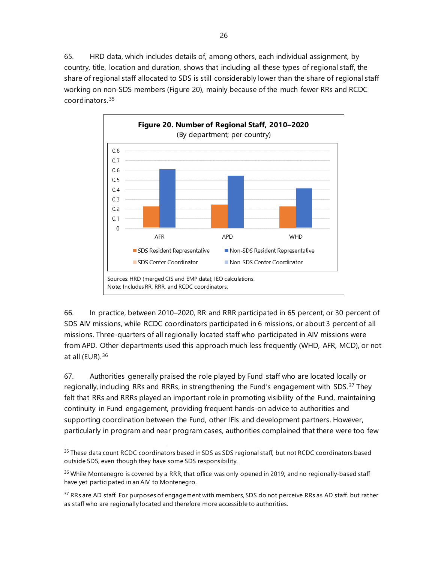65. HRD data, which includes details of, among others, each individual assignment, by country, title, location and duration, shows that including all these types of regional staff, the share of regional staff allocated to SDS is still considerably lower than the share of regional staff working on non-SDS members (Figure 20), mainly because of the much fewer RRs and RCDC coordinators.[35](#page-33-0)



66. In practice, between 2010–2020, RR and RRR participated in 65 percent, or 30 percent of SDS AIV missions, while RCDC coordinators participated in 6 missions, or about 3 percent of all missions. Three-quarters of all regionally located staff who participated in AIV missions were from APD. Other departments used this approach much less frequently (WHD, AFR, MCD), or not at all (EUR). [36](#page-33-1)

67. Authorities generally praised the role played by Fund staff who are located locally or regionally, including RRs and RRRs, in strengthening the Fund's engagement with SDS.<sup>[37](#page-33-2)</sup> They felt that RRs and RRRs played an important role in promoting visibility of the Fund, maintaining continuity in Fund engagement, providing frequent hands-on advice to authorities and supporting coordination between the Fund, other IFIs and development partners. However, particularly in program and near program cases, authorities complained that there were too few

<span id="page-33-0"></span><sup>&</sup>lt;sup>35</sup> These data count RCDC coordinators based in SDS as SDS regional staff, but not RCDC coordinators based outside SDS, even though they have some SDS responsibility.

<span id="page-33-1"></span><sup>&</sup>lt;sup>36</sup> While Montenegro is covered by a RRR, that office was only opened in 2019; and no regionally-based staff have yet participated in an AIV to Montenegro.

<span id="page-33-2"></span><sup>&</sup>lt;sup>37</sup> RRs are AD staff. For purposes of engagement with members, SDS do not perceive RRs as AD staff, but rather as staff who are regionally located and therefore more accessible to authorities.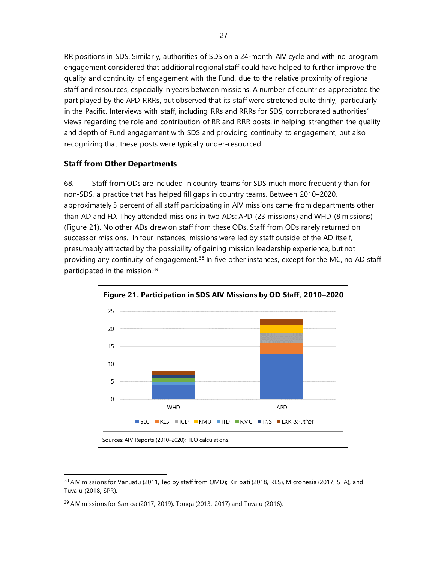RR positions in SDS. Similarly, authorities of SDS on a 24-month AIV cycle and with no program engagement considered that additional regional staff could have helped to further improve the quality and continuity of engagement with the Fund, due to the relative proximity of regional staff and resources, especially in years between missions. A number of countries appreciated the part played by the APD RRRs, but observed that its staff were stretched quite thinly, particularly in the Pacific. Interviews with staff, including RRs and RRRs for SDS, corroborated authorities' views regarding the role and contribution of RR and RRR posts, in helping strengthen the quality and depth of Fund engagement with SDS and providing continuity to engagement, but also recognizing that these posts were typically under-resourced.

## **Staff from Other Departments**

68. Staff from ODs are included in country teams for SDS much more frequently than for non-SDS, a practice that has helped fill gaps in country teams. Between 2010–2020, approximately 5 percent of all staff participating in AIV missions came from departments other than AD and FD. They attended missions in two ADs: APD (23 missions) and WHD (8 missions) (Figure 21). No other ADs drew on staff from these ODs. Staff from ODs rarely returned on successor missions. In four instances, missions were led by staff outside of the AD itself, presumably attracted by the possibility of gaining mission leadership experience, but not providing any continuity of engagement.<sup>[38](#page-34-0)</sup> In five other instances, except for the MC, no AD staff participated in the mission. [39](#page-34-1)



<span id="page-34-0"></span><sup>&</sup>lt;sup>38</sup> AIV missions for Vanuatu (2011, led by staff from OMD); Kiribati (2018, RES), Micronesia (2017, STA), and Tuvalu (2018, SPR).

<span id="page-34-1"></span> $39$  AIV missions for Samoa (2017, 2019), Tonga (2013, 2017) and Tuvalu (2016).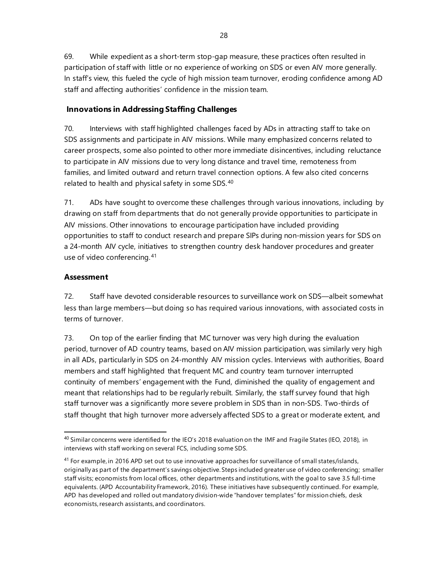69. While expedient as a short-term stop-gap measure, these practices often resulted in participation of staff with little or no experience of working on SDS or even AIV more generally. In staff's view, this fueled the cycle of high mission team turnover, eroding confidence among AD staff and affecting authorities' confidence in the mission team.

# **Innovations in Addressing Staffing Challenges**

70. Interviews with staff highlighted challenges faced by ADs in attracting staff to take on SDS assignments and participate in AIV missions. While many emphasized concerns related to career prospects, some also pointed to other more immediate disincentives, including reluctance to participate in AIV missions due to very long distance and travel time, remoteness from families, and limited outward and return travel connection options. A few also cited concerns related to health and physical safety in some SDS.<sup>[40](#page-35-0)</sup>

71. ADs have sought to overcome these challenges through various innovations, including by drawing on staff from departments that do not generally provide opportunities to participate in AIV missions. Other innovations to encourage participation have included providing opportunities to staff to conduct research and prepare SIPs during non-mission years for SDS on a 24-month AIV cycle, initiatives to strengthen country desk handover procedures and greater use of video conferencing. [41](#page-35-1)

# **Assessment**

72. Staff have devoted considerable resources to surveillance work on SDS—albeit somewhat less than large members—but doing so has required various innovations, with associated costs in terms of turnover.

73. On top of the earlier finding that MC turnover was very high during the evaluation period, turnover of AD country teams, based on AIV mission participation, was similarly very high in all ADs, particularly in SDS on 24-monthly AIV mission cycles. Interviews with authorities, Board members and staff highlighted that frequent MC and country team turnover interrupted continuity of members' engagement with the Fund, diminished the quality of engagement and meant that relationships had to be regularly rebuilt. Similarly, the staff survey found that high staff turnover was a significantly more severe problem in SDS than in non-SDS. Two-thirds of staff thought that high turnover more adversely affected SDS to a great or moderate extent, and

<span id="page-35-0"></span><sup>&</sup>lt;sup>40</sup> Similar concerns were identified for the IEO's 2018 evaluation on the IMF and Fragile States (IEO, 2018), in interviews with staff working on several FCS, including some SDS.

<span id="page-35-1"></span> $41$  For example, in 2016 APD set out to use innovative approaches for surveillance of small states/islands, originally as part of the department's savings objective. Steps included greater use of video conferencing; smaller staff visits; economists from local offices, other departments and institutions, with the goal to save 3.5 full-time equivalents. (APD Accountability Framework, 2016). These initiatives have subsequently continued. For example, APD has developed and rolled out mandatory division-wide "handover templates" for mission chiefs, desk economists, research assistants, and coordinators.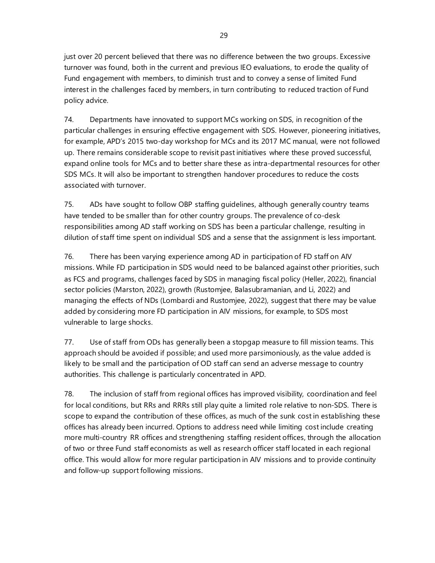just over 20 percent believed that there was no difference between the two groups. Excessive turnover was found, both in the current and previous IEO evaluations, to erode the quality of Fund engagement with members, to diminish trust and to convey a sense of limited Fund interest in the challenges faced by members, in turn contributing to reduced traction of Fund policy advice.

74. Departments have innovated to support MCs working on SDS, in recognition of the particular challenges in ensuring effective engagement with SDS. However, pioneering initiatives, for example, APD's 2015 two-day workshop for MCs and its 2017 MC manual, were not followed up. There remains considerable scope to revisit past initiatives where these proved successful, expand online tools for MCs and to better share these as intra-departmental resources for other SDS MCs. It will also be important to strengthen handover procedures to reduce the costs associated with turnover.

75. ADs have sought to follow OBP staffing guidelines, although generally country teams have tended to be smaller than for other country groups. The prevalence of co-desk responsibilities among AD staff working on SDS has been a particular challenge, resulting in dilution of staff time spent on individual SDS and a sense that the assignment is less important.

76. There has been varying experience among AD in participation of FD staff on AIV missions. While FD participation in SDS would need to be balanced against other priorities, such as FCS and programs, challenges faced by SDS in managing fiscal policy (Heller, 2022), financial sector policies (Marston, 2022), growth (Rustomjee, Balasubramanian, and Li, 2022) and managing the effects of NDs (Lombardi and Rustomjee, 2022), suggest that there may be value added by considering more FD participation in AIV missions, for example, to SDS most vulnerable to large shocks.

77. Use of staff from ODs has generally been a stopgap measure to fill mission teams. This approach should be avoided if possible; and used more parsimoniously, as the value added is likely to be small and the participation of OD staff can send an adverse message to country authorities. This challenge is particularly concentrated in APD.

78. The inclusion of staff from regional offices has improved visibility, coordination and feel for local conditions, but RRs and RRRs still play quite a limited role relative to non-SDS. There is scope to expand the contribution of these offices, as much of the sunk cost in establishing these offices has already been incurred. Options to address need while limiting cost include creating more multi-country RR offices and strengthening staffing resident offices, through the allocation of two or three Fund staff economists as well as research officer staff located in each regional office. This would allow for more regular participation in AIV missions and to provide continuity and follow-up support following missions.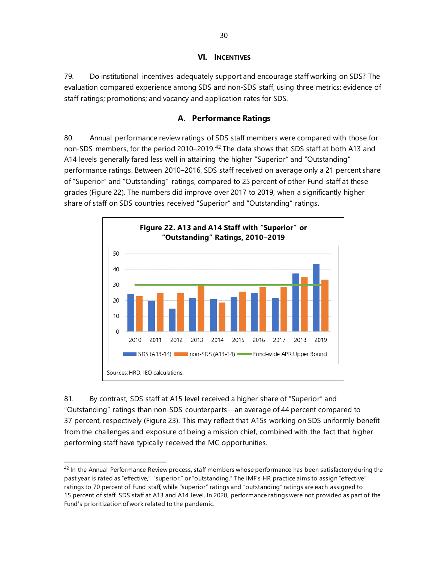#### **VI. INCENTIVES**

79. Do institutional incentives adequately support and encourage staff working on SDS? The evaluation compared experience among SDS and non-SDS staff, using three metrics: evidence of staff ratings; promotions; and vacancy and application rates for SDS.

## **A. Performance Ratings**

80. Annual performance review ratings of SDS staff members were compared with those for non-SDS members, for the period 2010–2019.<sup>[42](#page-37-0)</sup> The data shows that SDS staff at both A13 and A14 levels generally fared less well in attaining the higher "Superior" and "Outstanding" performance ratings. Between 2010–2016, SDS staff received on average only a 21 percent share of "Superior" and "Outstanding" ratings, compared to 25 percent of other Fund staff at these grades (Figure 22). The numbers did improve over 2017 to 2019, when a significantly higher share of staff on SDS countries received "Superior" and "Outstanding" ratings.



81. By contrast, SDS staff at A15 level received a higher share of "Superior" and "Outstanding" ratings than non-SDS counterparts—an average of 44 percent compared to 37 percent, respectively (Figure 23). This may reflect that A15s working on SDS uniformly benefit from the challenges and exposure of being a mission chief, combined with the fact that higher performing staff have typically received the MC opportunities.

<span id="page-37-0"></span> $42$  In the Annual Performance Review process, staff members whose performance has been satisfactory during the past year is rated as "effective," "superior," or "outstanding." The IMF's HR practice aims to assign "effective" ratings to 70 percent of Fund staff, while "superior" ratings and "outstanding" ratings are each assigned to 15 percent of staff. SDS staff at A13 and A14 level. In 2020, performance ratings were not provided as part of the Fund's prioritization of work related to the pandemic.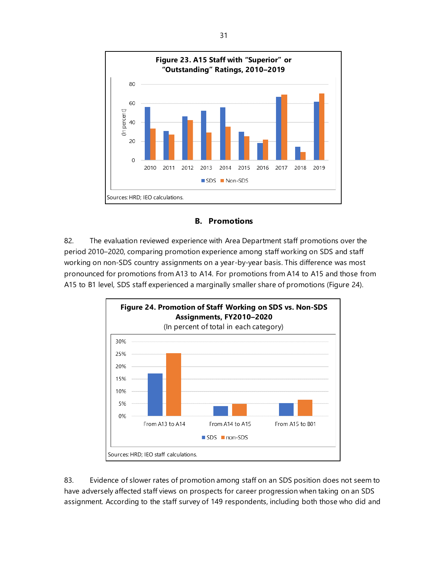



82. The evaluation reviewed experience with Area Department staff promotions over the period 2010–2020, comparing promotion experience among staff working on SDS and staff working on non-SDS country assignments on a year-by-year basis. This difference was most pronounced for promotions from A13 to A14. For promotions from A14 to A15 and those from A15 to B1 level, SDS staff experienced a marginally smaller share of promotions (Figure 24).



83. Evidence of slower rates of promotion among staff on an SDS position does not seem to have adversely affected staff views on prospects for career progression when taking on an SDS assignment. According to the staff survey of 149 respondents, including both those who did and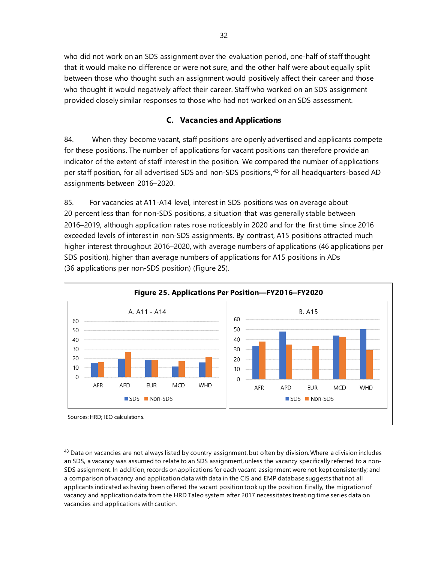who did not work on an SDS assignment over the evaluation period, one-half of staff thought that it would make no difference or were not sure, and the other half were about equally split between those who thought such an assignment would positively affect their career and those who thought it would negatively affect their career. Staff who worked on an SDS assignment provided closely similar responses to those who had not worked on an SDS assessment.

# **C. Vacancies and Applications**

84. When they become vacant, staff positions are openly advertised and applicants compete for these positions. The number of applications for vacant positions can therefore provide an indicator of the extent of staff interest in the position. We compared the number of applications per staff position, for all advertised SDS and non-SDS positions, [43](#page-39-0) for all headquarters-based AD assignments between 2016–2020.

85. For vacancies at A11-A14 level, interest in SDS positions was on average about 20 percent less than for non-SDS positions, a situation that was generally stable between 2016–2019, although application rates rose noticeably in 2020 and for the first time since 2016 exceeded levels of interest in non-SDS assignments. By contrast, A15 positions attracted much higher interest throughout 2016–2020, with average numbers of applications (46 applications per SDS position), higher than average numbers of applications for A15 positions in ADs (36 applications per non-SDS position) (Figure 25).



<span id="page-39-0"></span> $43$  Data on vacancies are not always listed by country assignment, but often by division. Where a division includes an SDS, a vacancy was assumed to relate to an SDS assignment, unless the vacancy specifically referred to a non-SDS assignment. In addition, records on applications for each vacant assignment were not kept consistently; and a comparison of vacancy and application data with data in the CIS and EMP database suggests that not all applicants indicated as having been offered the vacant position took up the position. Finally, the migration of vacancy and application data from the HRD Taleo system after 2017 necessitates treating time series data on vacancies and applications with caution.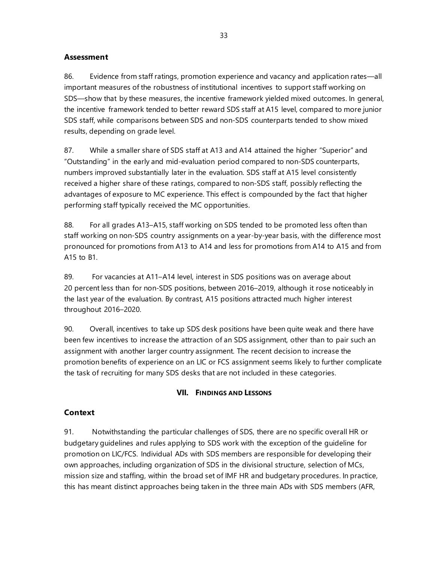### **Assessment**

86. Evidence from staff ratings, promotion experience and vacancy and application rates—all important measures of the robustness of institutional incentives to support staff working on SDS—show that by these measures, the incentive framework yielded mixed outcomes. In general, the incentive framework tended to better reward SDS staff at A15 level, compared to more junior SDS staff, while comparisons between SDS and non-SDS counterparts tended to show mixed results, depending on grade level.

87. While a smaller share of SDS staff at A13 and A14 attained the higher "Superior" and "Outstanding" in the early and mid-evaluation period compared to non-SDS counterparts, numbers improved substantially later in the evaluation. SDS staff at A15 level consistently received a higher share of these ratings, compared to non-SDS staff, possibly reflecting the advantages of exposure to MC experience. This effect is compounded by the fact that higher performing staff typically received the MC opportunities.

88. For all grades A13–A15, staff working on SDS tended to be promoted less often than staff working on non-SDS country assignments on a year-by-year basis, with the difference most pronounced for promotions from A13 to A14 and less for promotions from A14 to A15 and from A15 to B1.

89. For vacancies at A11–A14 level, interest in SDS positions was on average about 20 percent less than for non-SDS positions, between 2016–2019, although it rose noticeably in the last year of the evaluation. By contrast, A15 positions attracted much higher interest throughout 2016–2020.

90. Overall, incentives to take up SDS desk positions have been quite weak and there have been few incentives to increase the attraction of an SDS assignment, other than to pair such an assignment with another larger country assignment. The recent decision to increase the promotion benefits of experience on an LIC or FCS assignment seems likely to further complicate the task of recruiting for many SDS desks that are not included in these categories.

# **VII. FINDINGS AND LESSONS**

# **Context**

91. Notwithstanding the particular challenges of SDS, there are no specific overall HR or budgetary guidelines and rules applying to SDS work with the exception of the guideline for promotion on LIC/FCS. Individual ADs with SDS members are responsible for developing their own approaches, including organization of SDS in the divisional structure, selection of MCs, mission size and staffing, within the broad set of IMF HR and budgetary procedures. In practice, this has meant distinct approaches being taken in the three main ADs with SDS members (AFR,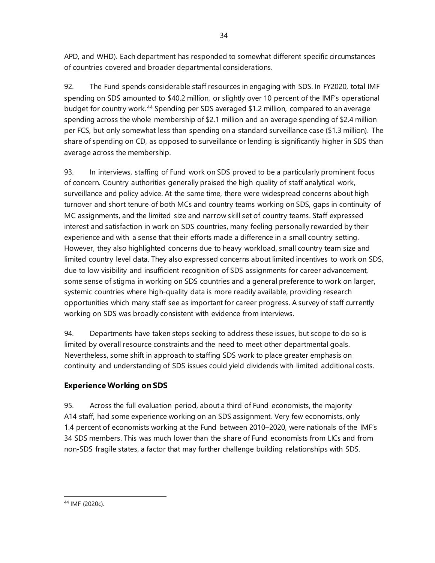APD, and WHD). Each department has responded to somewhat different specific circumstances of countries covered and broader departmental considerations.

92. The Fund spends considerable staff resources in engaging with SDS. In FY2020, total IMF spending on SDS amounted to \$40.2 million, or slightly over 10 percent of the IMF's operational budget for country work.[44](#page-41-0) Spending per SDS averaged \$1.2 million, compared to an average spending across the whole membership of \$2.1 million and an average spending of \$2.4 million per FCS, but only somewhat less than spending on a standard surveillance case (\$1.3 million). The share of spending on CD, as opposed to surveillance or lending is significantly higher in SDS than average across the membership.

93. In interviews, staffing of Fund work on SDS proved to be a particularly prominent focus of concern. Country authorities generally praised the high quality of staff analytical work, surveillance and policy advice. At the same time, there were widespread concerns about high turnover and short tenure of both MCs and country teams working on SDS, gaps in continuity of MC assignments, and the limited size and narrow skill set of country teams. Staff expressed interest and satisfaction in work on SDS countries, many feeling personally rewarded by their experience and with a sense that their efforts made a difference in a small country setting. However, they also highlighted concerns due to heavy workload, small country team size and limited country level data. They also expressed concerns about limited incentives to work on SDS, due to low visibility and insufficient recognition of SDS assignments for career advancement, some sense of stigma in working on SDS countries and a general preference to work on larger, systemic countries where high-quality data is more readily available, providing research opportunities which many staff see as important for career progress. A survey of staff currently working on SDS was broadly consistent with evidence from interviews.

94. Departments have taken steps seeking to address these issues, but scope to do so is limited by overall resource constraints and the need to meet other departmental goals. Nevertheless, some shift in approach to staffing SDS work to place greater emphasis on continuity and understanding of SDS issues could yield dividends with limited additional costs.

# **Experience Working on SDS**

95. Across the full evaluation period, about a third of Fund economists, the majority A14 staff, had some experience working on an SDS assignment. Very few economists, only 1.4 percent of economists working at the Fund between 2010–2020, were nationals of the IMF's 34 SDS members. This was much lower than the share of Fund economists from LICs and from non-SDS fragile states, a factor that may further challenge building relationships with SDS.

<span id="page-41-0"></span><sup>44</sup> IMF (2020c).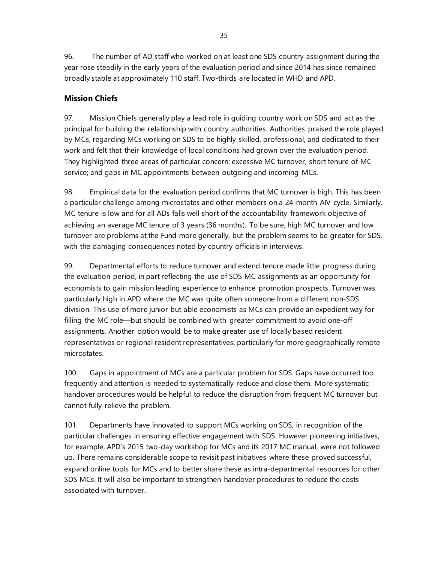96. The number of AD staff who worked on at least one SDS country assignment during the year rose steadily in the early years of the evaluation period and since 2014 has since remained broadly stable at approximately 110 staff. Two-thirds are located in WHD and APD.

# **Mission Chiefs**

97. Mission Chiefs generally play a lead role in guiding country work on SDS and act as the principal for building the relationship with country authorities. Authorities praised the role played by MCs, regarding MCs working on SDS to be highly skilled, professional, and dedicated to their work and felt that their knowledge of local conditions had grown over the evaluation period. They highlighted three areas of particular concern: excessive MC turnover, short tenure of MC service; and gaps in MC appointments between outgoing and incoming MCs.

98. Empirical data for the evaluation period confirms that MC turnover is high. This has been a particular challenge among microstates and other members on a 24-month AIV cycle. Similarly, MC tenure is low and for all ADs falls well short of the accountability framework objective of achieving an average MC tenure of 3 years (36 months). To be sure, high MC turnover and low turnover are problems at the Fund more generally, but the problem seems to be greater for SDS, with the damaging consequences noted by country officials in interviews.

99. Departmental efforts to reduce turnover and extend tenure made little progress during the evaluation period, in part reflecting the use of SDS MC assignments as an opportunity for economists to gain mission leading experience to enhance promotion prospects. Turnover was particularly high in APD where the MC was quite often someone from a different non-SDS division. This use of more junior but able economists as MCs can provide an expedient way for filling the MC role—but should be combined with greater commitment to avoid one-off assignments. Another option would be to make greater use of locally based resident representatives or regional resident representatives, particularly for more geographically remote microstates.

100. Gaps in appointment of MCs are a particular problem for SDS. Gaps have occurred too frequently and attention is needed to systematically reduce and close them. More systematic handover procedures would be helpful to reduce the disruption from frequent MC turnover but cannot fully relieve the problem.

101. Departments have innovated to support MCs working on SDS, in recognition of the particular challenges in ensuring effective engagement with SDS. However pioneering initiatives, for example, APD's 2015 two-day workshop for MCs and its 2017 MC manual, were not followed up. There remains considerable scope to revisit past initiatives where these proved successful, expand online tools for MCs and to better share these as intra-departmental resources for other SDS MCs. It will also be important to strengthen handover procedures to reduce the costs associated with turnover.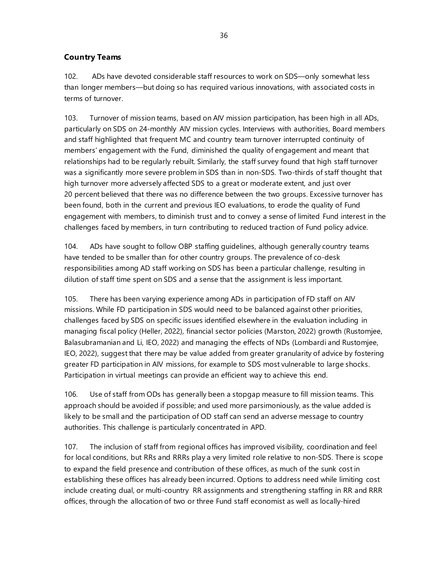# **Country Teams**

102. ADs have devoted considerable staff resources to work on SDS—only somewhat less than longer members—but doing so has required various innovations, with associated costs in terms of turnover.

103. Turnover of mission teams, based on AIV mission participation, has been high in all ADs, particularly on SDS on 24-monthly AIV mission cycles. Interviews with authorities, Board members and staff highlighted that frequent MC and country team turnover interrupted continuity of members' engagement with the Fund, diminished the quality of engagement and meant that relationships had to be regularly rebuilt. Similarly, the staff survey found that high staff turnover was a significantly more severe problem in SDS than in non-SDS. Two-thirds of staff thought that high turnover more adversely affected SDS to a great or moderate extent, and just over 20 percent believed that there was no difference between the two groups. Excessive turnover has been found, both in the current and previous IEO evaluations, to erode the quality of Fund engagement with members, to diminish trust and to convey a sense of limited Fund interest in the challenges faced by members, in turn contributing to reduced traction of Fund policy advice.

104. ADs have sought to follow OBP staffing guidelines, although generally country teams have tended to be smaller than for other country groups. The prevalence of co-desk responsibilities among AD staff working on SDS has been a particular challenge, resulting in dilution of staff time spent on SDS and a sense that the assignment is less important.

105. There has been varying experience among ADs in participation of FD staff on AIV missions. While FD participation in SDS would need to be balanced against other priorities, challenges faced by SDS on specific issues identified elsewhere in the evaluation including in managing fiscal policy (Heller, 2022), financial sector policies (Marston, 2022) growth (Rustomjee, Balasubramanian and Li, IEO, 2022) and managing the effects of NDs (Lombardi and Rustomjee, IEO, 2022), suggest that there may be value added from greater granularity of advice by fostering greater FD participation in AIV missions, for example to SDS most vulnerable to large shocks. Participation in virtual meetings can provide an efficient way to achieve this end.

106. Use of staff from ODs has generally been a stopgap measure to fill mission teams. This approach should be avoided if possible; and used more parsimoniously, as the value added is likely to be small and the participation of OD staff can send an adverse message to country authorities. This challenge is particularly concentrated in APD.

107. The inclusion of staff from regional offices has improved visibility, coordination and feel for local conditions, but RRs and RRRs play a very limited role relative to non-SDS. There is scope to expand the field presence and contribution of these offices, as much of the sunk cost in establishing these offices has already been incurred. Options to address need while limiting cost include creating dual, or multi-country RR assignments and strengthening staffing in RR and RRR offices, through the allocation of two or three Fund staff economist as well as locally-hired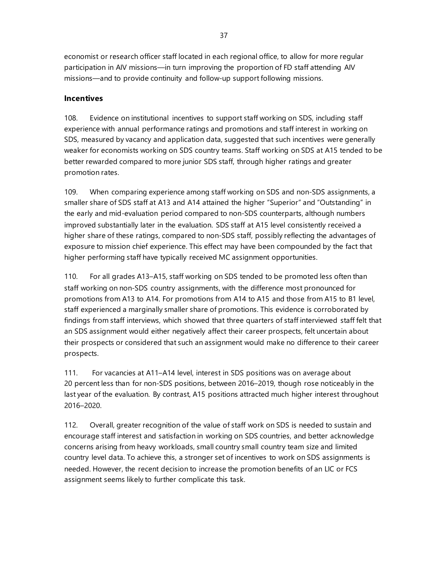economist or research officer staff located in each regional office, to allow for more regular participation in AIV missions—in turn improving the proportion of FD staff attending AIV missions—and to provide continuity and follow-up support following missions.

## **Incentives**

108. Evidence on institutional incentives to support staff working on SDS, including staff experience with annual performance ratings and promotions and staff interest in working on SDS, measured by vacancy and application data, suggested that such incentives were generally weaker for economists working on SDS country teams. Staff working on SDS at A15 tended to be better rewarded compared to more junior SDS staff, through higher ratings and greater promotion rates.

109. When comparing experience among staff working on SDS and non-SDS assignments, a smaller share of SDS staff at A13 and A14 attained the higher "Superior" and "Outstanding" in the early and mid-evaluation period compared to non-SDS counterparts, although numbers improved substantially later in the evaluation. SDS staff at A15 level consistently received a higher share of these ratings, compared to non-SDS staff, possibly reflecting the advantages of exposure to mission chief experience. This effect may have been compounded by the fact that higher performing staff have typically received MC assignment opportunities.

110. For all grades A13–A15, staff working on SDS tended to be promoted less often than staff working on non-SDS country assignments, with the difference most pronounced for promotions from A13 to A14. For promotions from A14 to A15 and those from A15 to B1 level, staff experienced a marginally smaller share of promotions. This evidence is corroborated by findings from staff interviews, which showed that three quarters of staff interviewed staff felt that an SDS assignment would either negatively affect their career prospects, felt uncertain about their prospects or considered that such an assignment would make no difference to their career prospects.

111. For vacancies at A11–A14 level, interest in SDS positions was on average about 20 percent less than for non-SDS positions, between 2016–2019, though rose noticeably in the last year of the evaluation. By contrast, A15 positions attracted much higher interest throughout 2016–2020.

112. Overall, greater recognition of the value of staff work on SDS is needed to sustain and encourage staff interest and satisfaction in working on SDS countries, and better acknowledge concerns arising from heavy workloads, small country small country team size and limited country level data. To achieve this, a stronger set of incentives to work on SDS assignments is needed. However, the recent decision to increase the promotion benefits of an LIC or FCS assignment seems likely to further complicate this task.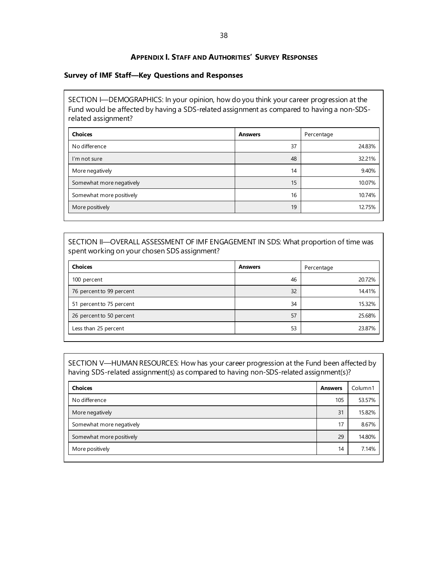#### **APPENDIX I. STAFF AND AUTHORITIES' SURVEY RESPONSES**

#### <span id="page-45-0"></span>**Survey of IMF Staff—Key Questions and Responses**

SECTION I—DEMOGRAPHICS: In your opinion, how do you think your career progression at the Fund would be affected by having a SDS-related assignment as compared to having a non-SDSrelated assignment?

| <b>Choices</b>           | <b>Answers</b> | Percentage |
|--------------------------|----------------|------------|
| No difference            | 37             | 24.83%     |
| I'm not sure             | 48             | 32.21%     |
| More negatively          | 14             | 9.40%      |
| Somewhat more negatively | 15             | 10.07%     |
| Somewhat more positively | 16             | 10.74%     |
| More positively          | 19             | 12.75%     |

#### SECTION II—OVERALL ASSESSMENT OF IMF ENGAGEMENT IN SDS: What proportion of time was spent working on your chosen SDS assignment?

| <b>Choices</b>           | <b>Answers</b> | Percentage |
|--------------------------|----------------|------------|
| 100 percent              | 46             | 20.72%     |
| 76 percent to 99 percent | 32             | 14.41%     |
| 51 percent to 75 percent | 34             | 15.32%     |
| 26 percent to 50 percent | 57             | 25.68%     |
| Less than 25 percent     | 53             | 23.87%     |

SECTION V—HUMAN RESOURCES: How has your career progression at the Fund been affected by having SDS-related assignment(s) as compared to having non-SDS-related assignment(s)?

| <b>Choices</b>           | <b>Answers</b> | Column1 |
|--------------------------|----------------|---------|
| No difference            | 105            | 53.57%  |
| More negatively          | 31             | 15.82%  |
| Somewhat more negatively | 17             | 8.67%   |
| Somewhat more positively | 29             | 14.80%  |
| More positively          | 14             | 7.14%   |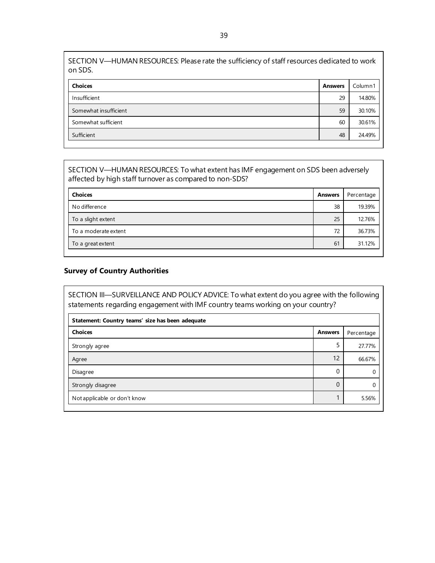SECTION V—HUMAN RESOURCES: Please rate the sufficiency of staff resources dedicated to work on SDS.

| <b>Choices</b>        | <b>Answers</b> | Column1 |
|-----------------------|----------------|---------|
| Insufficient          | 29             | 14.80%  |
| Somewhat insufficient | 59             | 30.10%  |
| Somewhat sufficient   | 60             | 30.61%  |
| Sufficient            | 48             | 24.49%  |

SECTION V—HUMAN RESOURCES: To what extent has IMF engagement on SDS been adversely affected by high staff turnover as compared to non-SDS?

| <b>Choices</b>       | <b>Answers</b> | Percentage |
|----------------------|----------------|------------|
| No difference        | 38             | 19.39%     |
| To a slight extent   | 25             | 12.76%     |
| To a moderate extent | 72             | 36.73%     |
| To a great extent    | 61             | 31.12%     |

# **Survey of Country Authorities**

SECTION III—SURVEILLANCE AND POLICY ADVICE: To what extent do you agree with the following statements regarding engagement with IMF country teams working on your country?

| Statement: Country teams' size has been adequate |                |            |
|--------------------------------------------------|----------------|------------|
| <b>Choices</b>                                   | <b>Answers</b> | Percentage |
| Strongly agree                                   | 5              | 27.77%     |
| Agree                                            | 12             | 66.67%     |
| Disagree                                         | 0              |            |
| Strongly disagree                                | $\mathbf{0}$   |            |
| Not applicable or don't know                     |                | 5.56%      |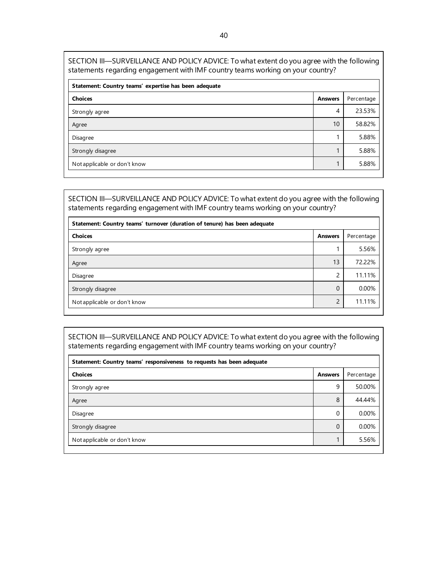| Statement: Country teams' expertise has been adequate |                |            |
|-------------------------------------------------------|----------------|------------|
| <b>Choices</b>                                        | <b>Answers</b> | Percentage |
| Strongly agree                                        | 4              | 23.53%     |
| Agree                                                 | 10             | 58.82%     |
| Disagree                                              |                | 5.88%      |
| Strongly disagree                                     |                | 5.88%      |
| Not applicable or don't know                          |                | 5.88%      |

SECTION III—SURVEILLANCE AND POLICY ADVICE: To what extent do you agree with the following statements regarding engagement with IMF country teams working on your country?

| Statement: Country teams' turnover (duration of tenure) has been adequate |                |            |
|---------------------------------------------------------------------------|----------------|------------|
| <b>Choices</b>                                                            | <b>Answers</b> | Percentage |
| Strongly agree                                                            |                | 5.56%      |
| Agree                                                                     | 13             | 72.22%     |
| Disagree                                                                  | 2              | 11.11%     |
| Strongly disagree                                                         | $\mathbf{0}$   | 0.00%      |
| Not applicable or don't know                                              | $\overline{2}$ | 11.11%     |

SECTION III—SURVEILLANCE AND POLICY ADVICE: To what extent do you agree with the following statements regarding engagement with IMF country teams working on your country?

| Statement: Country teams' responsiveness to requests has been adequate |            |
|------------------------------------------------------------------------|------------|
| <b>Answers</b>                                                         | Percentage |
| 9                                                                      | 50.00%     |
| 8                                                                      | 44.44%     |
| 0                                                                      | 0.00%      |
| $\Omega$                                                               | 0.00%      |
| 1                                                                      | 5.56%      |
|                                                                        |            |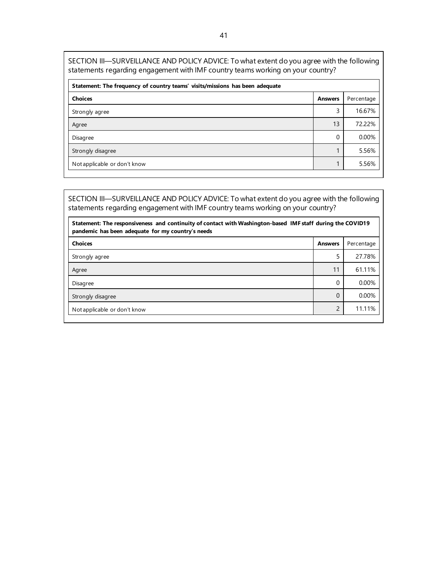SECTION III—SURVEILLANCE AND POLICY ADVICE: To what extent do you agree with the following statements regarding engagement with IMF country teams working on your country?

| Statement: The frequency of country teams' visits/missions has been adequate |                |            |  |
|------------------------------------------------------------------------------|----------------|------------|--|
| <b>Choices</b>                                                               | <b>Answers</b> | Percentage |  |
| Strongly agree                                                               | 3              | 16.67%     |  |
| Agree                                                                        | 13             | 72.22%     |  |
| Disagree                                                                     | $\Omega$       | 0.00%      |  |
| Strongly disagree                                                            |                | 5.56%      |  |
| Not applicable or don't know                                                 |                | 5.56%      |  |

SECTION III—SURVEILLANCE AND POLICY ADVICE: To what extent do you agree with the following statements regarding engagement with IMF country teams working on your country?

**Statement: The responsiveness and continuity of contact with Washington-based IMF staff during the COVID19 pandemic has been adequate for my country's needs**

| <b>Choices</b>               | <b>Answers</b> | Percentage |
|------------------------------|----------------|------------|
| Strongly agree               | 5              | 27.78%     |
| Agree                        | 11             | 61.11%     |
| Disagree                     | 0              | 0.00%      |
| Strongly disagree            | $\mathbf 0$    | 0.00%      |
| Not applicable or don't know | $\overline{2}$ | 11.11%     |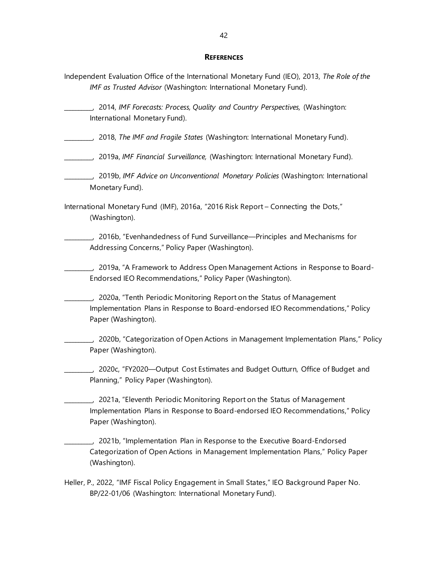#### **REFERENCES**

- <span id="page-49-0"></span>Independent Evaluation Office of the International Monetary Fund (IEO), 2013, *The Role of the IMF as Trusted Advisor* (Washington: International Monetary Fund).
- \_\_\_\_\_\_\_\_\_\_, 2014, *IMF Forecasts: Process, Quality and Country Perspectives,* (Washington: International Monetary Fund).
- \_\_\_\_\_\_\_\_\_\_, 2018, *The IMF and Fragile States* (Washington: International Monetary Fund).
- \_\_\_\_\_\_\_\_\_\_, 2019a, *IMF Financial Surveillance,* (Washington: International Monetary Fund).
- \_\_\_\_\_\_\_\_\_\_, 2019b, *IMF Advice on Unconventional Monetary Policies* (Washington: International Monetary Fund).
- International Monetary Fund (IMF), 2016a, "2016 Risk Report Connecting the Dots," (Washington).
	- \_\_\_\_\_\_\_\_\_\_, 2016b, "Evenhandedness of Fund Surveillance—Principles and Mechanisms for Addressing Concerns," Policy Paper (Washington).
	- \_\_\_\_\_\_\_\_\_\_, 2019a, "A Framework to Address Open Management Actions in Response to Board-Endorsed IEO Recommendations," Policy Paper (Washington).
	- \_\_\_\_\_\_\_\_\_\_, 2020a, "Tenth Periodic Monitoring Report on the Status of Management Implementation Plans in Response to Board-endorsed IEO Recommendations," Policy Paper (Washington).
	- \_\_\_\_\_\_\_\_\_\_, 2020b, "Categorization of Open Actions in Management Implementation Plans," Policy Paper (Washington).
	- \_\_\_\_\_\_\_\_\_\_, 2020c, "FY2020—Output Cost Estimates and Budget Outturn, Office of Budget and Planning," Policy Paper (Washington).
		- \_\_\_\_\_\_\_\_\_\_, 2021a, "Eleventh Periodic Monitoring Report on the Status of Management Implementation Plans in Response to Board-endorsed IEO Recommendations," Policy Paper (Washington).
	- \_\_\_\_\_\_\_\_\_\_, 2021b, "Implementation Plan in Response to the Executive Board-Endorsed Categorization of Open Actions in Management Implementation Plans," Policy Paper (Washington).
- Heller, P., 2022, "IMF Fiscal Policy Engagement in Small States," IEO Background Paper No. BP/22-01/06 (Washington: International Monetary Fund).